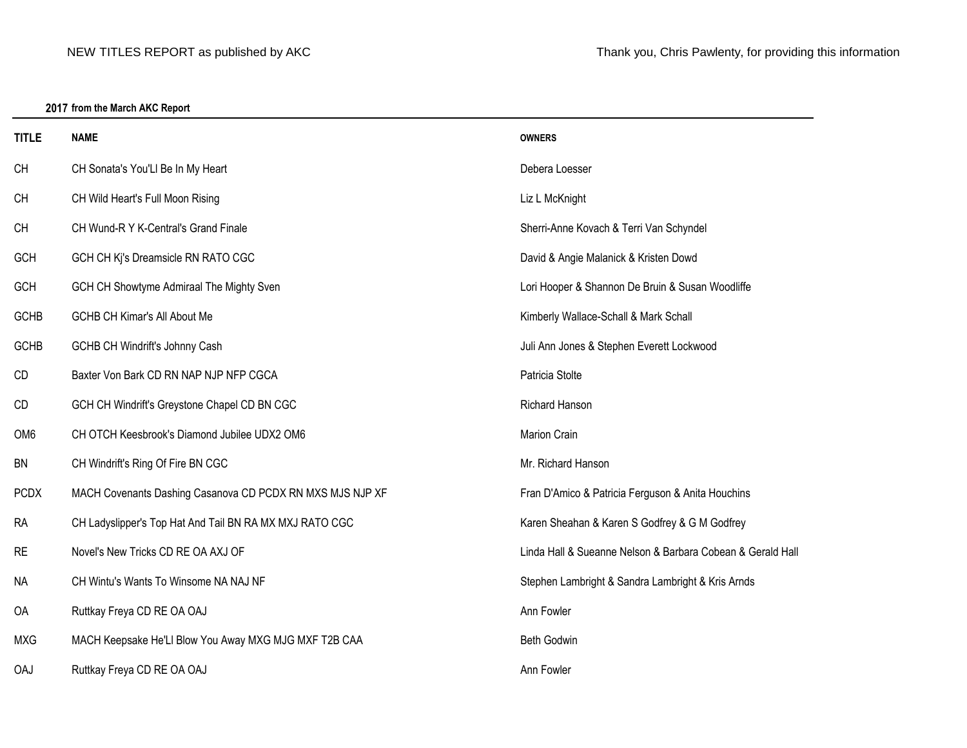## **2017 from the March AKC Report**

| <b>TITLE</b>    | <b>NAME</b>                                               | <b>OWNERS</b>                                              |
|-----------------|-----------------------------------------------------------|------------------------------------------------------------|
| <b>CH</b>       | CH Sonata's You'Ll Be In My Heart                         | Debera Loesser                                             |
| <b>CH</b>       | CH Wild Heart's Full Moon Rising                          | Liz L McKnight                                             |
| CH              | CH Wund-R Y K-Central's Grand Finale                      | Sherri-Anne Kovach & Terri Van Schyndel                    |
| GCH             | GCH CH Kj's Dreamsicle RN RATO CGC                        | David & Angie Malanick & Kristen Dowd                      |
| GCH             | GCH CH Showtyme Admiraal The Mighty Sven                  | Lori Hooper & Shannon De Bruin & Susan Woodliffe           |
| <b>GCHB</b>     | <b>GCHB CH Kimar's All About Me</b>                       | Kimberly Wallace-Schall & Mark Schall                      |
| <b>GCHB</b>     | GCHB CH Windrift's Johnny Cash                            | Juli Ann Jones & Stephen Everett Lockwood                  |
| CD              | Baxter Von Bark CD RN NAP NJP NFP CGCA                    | Patricia Stolte                                            |
| CD              | GCH CH Windrift's Greystone Chapel CD BN CGC              | Richard Hanson                                             |
| OM <sub>6</sub> | CH OTCH Keesbrook's Diamond Jubilee UDX2 OM6              | Marion Crain                                               |
| <b>BN</b>       | CH Windrift's Ring Of Fire BN CGC                         | Mr. Richard Hanson                                         |
| <b>PCDX</b>     | MACH Covenants Dashing Casanova CD PCDX RN MXS MJS NJP XF | Fran D'Amico & Patricia Ferguson & Anita Houchins          |
| <b>RA</b>       | CH Ladyslipper's Top Hat And Tail BN RA MX MXJ RATO CGC   | Karen Sheahan & Karen S Godfrey & G M Godfrey              |
| <b>RE</b>       | Novel's New Tricks CD RE OA AXJ OF                        | Linda Hall & Sueanne Nelson & Barbara Cobean & Gerald Hall |
| <b>NA</b>       | CH Wintu's Wants To Winsome NA NAJ NF                     | Stephen Lambright & Sandra Lambright & Kris Arnds          |
| 0A              | Ruttkay Freya CD RE OA OAJ                                | Ann Fowler                                                 |
| <b>MXG</b>      | MACH Keepsake He'LI Blow You Away MXG MJG MXF T2B CAA     | Beth Godwin                                                |
| <b>OAJ</b>      | Ruttkay Freya CD RE OA OAJ                                | Ann Fowler                                                 |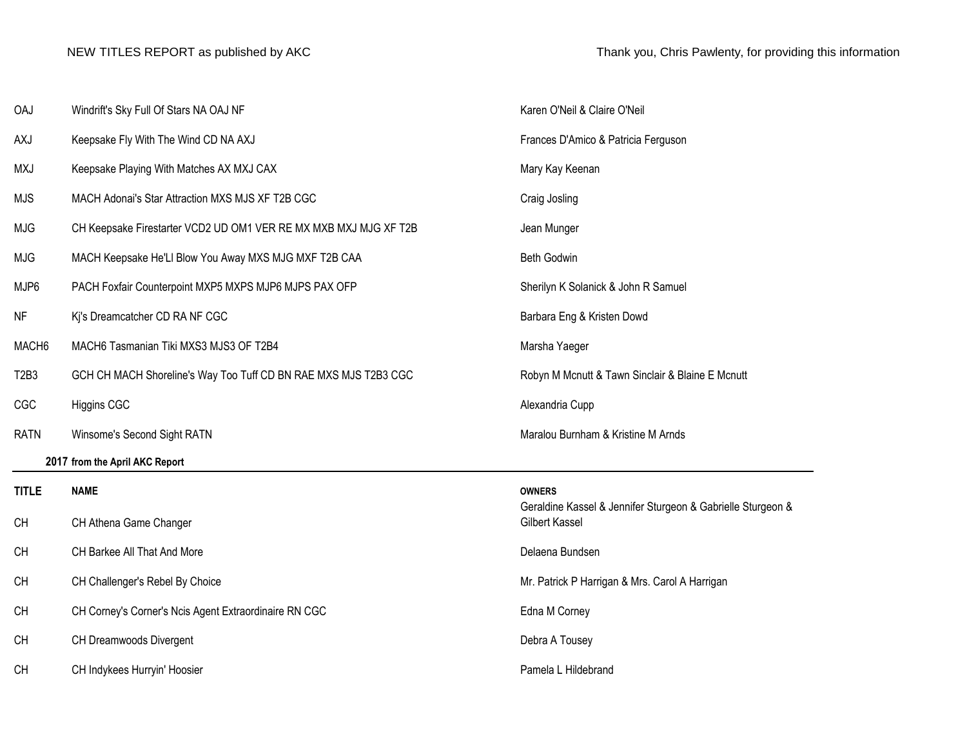| <b>OAJ</b>                    | Windrift's Sky Full Of Stars NA OAJ NF                           | Karen O'Neil & Claire O'Neil                                                  |
|-------------------------------|------------------------------------------------------------------|-------------------------------------------------------------------------------|
| AXJ                           | Keepsake Fly With The Wind CD NA AXJ                             | Frances D'Amico & Patricia Ferguson                                           |
| MXJ                           | Keepsake Playing With Matches AX MXJ CAX                         | Mary Kay Keenan                                                               |
| <b>MJS</b>                    | MACH Adonai's Star Attraction MXS MJS XF T2B CGC                 | Craig Josling                                                                 |
| <b>MJG</b>                    | CH Keepsake Firestarter VCD2 UD OM1 VER RE MX MXB MXJ MJG XF T2B | Jean Munger                                                                   |
| <b>MJG</b>                    | MACH Keepsake He'LI Blow You Away MXS MJG MXF T2B CAA            | <b>Beth Godwin</b>                                                            |
| MJP6                          | PACH Foxfair Counterpoint MXP5 MXPS MJP6 MJPS PAX OFP            | Sherilyn K Solanick & John R Samuel                                           |
| <b>NF</b>                     | Ki's Dreamcatcher CD RA NF CGC                                   | Barbara Eng & Kristen Dowd                                                    |
| MACH <sub>6</sub>             | MACH6 Tasmanian Tiki MXS3 MJS3 OF T2B4                           | Marsha Yaeger                                                                 |
| T <sub>2</sub> B <sub>3</sub> | GCH CH MACH Shoreline's Way Too Tuff CD BN RAE MXS MJS T2B3 CGC  | Robyn M Mcnutt & Tawn Sinclair & Blaine E Mcnutt                              |
| CGC                           | Higgins CGC                                                      | Alexandria Cupp                                                               |
| <b>RATN</b>                   | Winsome's Second Sight RATN                                      | Maralou Burnham & Kristine M Arnds                                            |
|                               | 2017 from the April AKC Report                                   |                                                                               |
| <b>TITLE</b>                  | <b>NAME</b>                                                      | <b>OWNERS</b>                                                                 |
| CH                            | CH Athena Game Changer                                           | Geraldine Kassel & Jennifer Sturgeon & Gabrielle Sturgeon &<br>Gilbert Kassel |
| CH                            | CH Barkee All That And More                                      | Delaena Bundsen                                                               |
| CH                            | CH Challenger's Rebel By Choice                                  | Mr. Patrick P Harrigan & Mrs. Carol A Harrigan                                |
| CH                            | CH Corney's Corner's Ncis Agent Extraordinaire RN CGC            | Edna M Corney                                                                 |
| CH                            | CH Dreamwoods Divergent                                          | Debra A Tousey                                                                |
| <b>CH</b>                     | CH Indykees Hurryin' Hoosier                                     | Pamela L Hildebrand                                                           |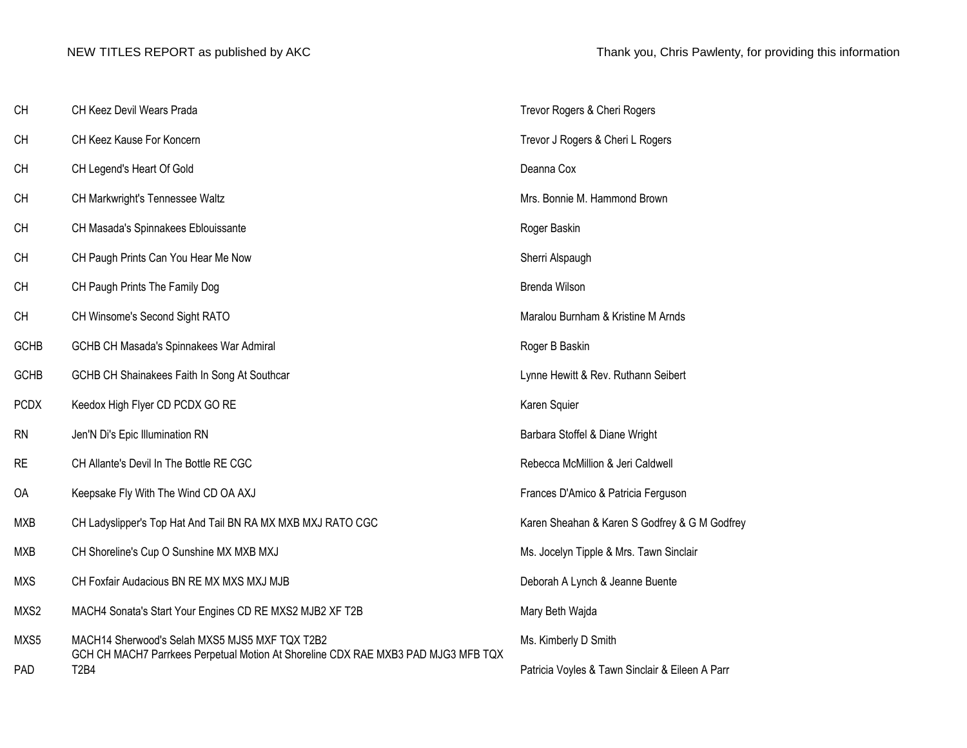| <b>CH</b>   | CH Keez Devil Wears Prada                                                                                                           | Trevor Rogers & Cheri Rogers                    |
|-------------|-------------------------------------------------------------------------------------------------------------------------------------|-------------------------------------------------|
| CH          | CH Keez Kause For Koncern                                                                                                           | Trevor J Rogers & Cheri L Rogers                |
| CH          | CH Legend's Heart Of Gold                                                                                                           | Deanna Cox                                      |
| <b>CH</b>   | CH Markwright's Tennessee Waltz                                                                                                     | Mrs. Bonnie M. Hammond Brown                    |
| <b>CH</b>   | CH Masada's Spinnakees Eblouissante                                                                                                 | Roger Baskin                                    |
| <b>CH</b>   | CH Paugh Prints Can You Hear Me Now                                                                                                 | Sherri Alspaugh                                 |
| <b>CH</b>   | CH Paugh Prints The Family Dog                                                                                                      | Brenda Wilson                                   |
| CH          | CH Winsome's Second Sight RATO                                                                                                      | Maralou Burnham & Kristine M Arnds              |
| <b>GCHB</b> | GCHB CH Masada's Spinnakees War Admiral                                                                                             | Roger B Baskin                                  |
| <b>GCHB</b> | GCHB CH Shainakees Faith In Song At Southcar                                                                                        | Lynne Hewitt & Rev. Ruthann Seibert             |
| <b>PCDX</b> | Keedox High Flyer CD PCDX GO RE                                                                                                     | Karen Squier                                    |
| <b>RN</b>   | Jen'N Di's Epic Illumination RN                                                                                                     | Barbara Stoffel & Diane Wright                  |
| <b>RE</b>   | CH Allante's Devil In The Bottle RE CGC                                                                                             | Rebecca McMillion & Jeri Caldwell               |
| <b>OA</b>   | Keepsake Fly With The Wind CD OA AXJ                                                                                                | Frances D'Amico & Patricia Ferguson             |
| <b>MXB</b>  | CH Ladyslipper's Top Hat And Tail BN RA MX MXB MXJ RATO CGC                                                                         | Karen Sheahan & Karen S Godfrey & G M Godfrey   |
| <b>MXB</b>  | CH Shoreline's Cup O Sunshine MX MXB MXJ                                                                                            | Ms. Jocelyn Tipple & Mrs. Tawn Sinclair         |
| <b>MXS</b>  | CH Foxfair Audacious BN RE MX MXS MXJ MJB                                                                                           | Deborah A Lynch & Jeanne Buente                 |
| MXS2        | MACH4 Sonata's Start Your Engines CD RE MXS2 MJB2 XF T2B                                                                            | Mary Beth Wajda                                 |
| MXS5        | MACH14 Sherwood's Selah MXS5 MJS5 MXF TQX T2B2<br>GCH CH MACH7 Parrkees Perpetual Motion At Shoreline CDX RAE MXB3 PAD MJG3 MFB TQX | Ms. Kimberly D Smith                            |
| PAD         | T <sub>2</sub> B <sub>4</sub>                                                                                                       | Patricia Voyles & Tawn Sinclair & Eileen A Parr |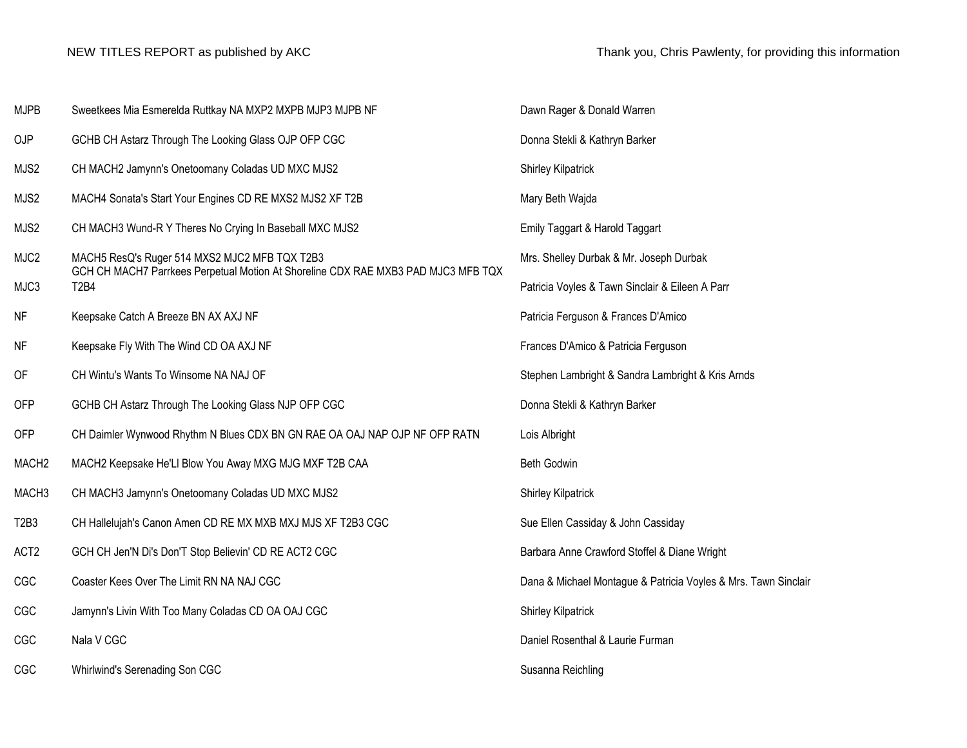| <b>MJPB</b>                   | Sweetkees Mia Esmerelda Ruttkay NA MXP2 MXPB MJP3 MJPB NF                                                                          | Dawn Rager & Donald Warren                                     |
|-------------------------------|------------------------------------------------------------------------------------------------------------------------------------|----------------------------------------------------------------|
| OJP                           | GCHB CH Astarz Through The Looking Glass OJP OFP CGC                                                                               | Donna Stekli & Kathryn Barker                                  |
| MJS2                          | CH MACH2 Jamynn's Onetoomany Coladas UD MXC MJS2                                                                                   | <b>Shirley Kilpatrick</b>                                      |
| MJS2                          | MACH4 Sonata's Start Your Engines CD RE MXS2 MJS2 XF T2B                                                                           | Mary Beth Wajda                                                |
| MJS2                          | CH MACH3 Wund-R Y Theres No Crying In Baseball MXC MJS2                                                                            | Emily Taggart & Harold Taggart                                 |
| MJC2                          | MACH5 ResQ's Ruger 514 MXS2 MJC2 MFB TQX T2B3<br>GCH CH MACH7 Parrkees Perpetual Motion At Shoreline CDX RAE MXB3 PAD MJC3 MFB TQX | Mrs. Shelley Durbak & Mr. Joseph Durbak                        |
| MJC3                          | <b>T2B4</b>                                                                                                                        | Patricia Voyles & Tawn Sinclair & Eileen A Parr                |
| <b>NF</b>                     | Keepsake Catch A Breeze BN AX AXJ NF                                                                                               | Patricia Ferguson & Frances D'Amico                            |
| <b>NF</b>                     | Keepsake Fly With The Wind CD OA AXJ NF                                                                                            | Frances D'Amico & Patricia Ferguson                            |
| OF                            | CH Wintu's Wants To Winsome NA NAJ OF                                                                                              | Stephen Lambright & Sandra Lambright & Kris Arnds              |
| <b>OFP</b>                    | GCHB CH Astarz Through The Looking Glass NJP OFP CGC                                                                               | Donna Stekli & Kathryn Barker                                  |
| <b>OFP</b>                    | CH Daimler Wynwood Rhythm N Blues CDX BN GN RAE OA OAJ NAP OJP NF OFP RATN                                                         | Lois Albright                                                  |
| MACH <sub>2</sub>             | MACH2 Keepsake He'Ll Blow You Away MXG MJG MXF T2B CAA                                                                             | Beth Godwin                                                    |
| MACH <sub>3</sub>             | CH MACH3 Jamynn's Onetoomany Coladas UD MXC MJS2                                                                                   | <b>Shirley Kilpatrick</b>                                      |
| T <sub>2</sub> B <sub>3</sub> | CH Hallelujah's Canon Amen CD RE MX MXB MXJ MJS XF T2B3 CGC                                                                        | Sue Ellen Cassiday & John Cassiday                             |
| ACT <sub>2</sub>              | GCH CH Jen'N Di's Don'T Stop Believin' CD RE ACT2 CGC                                                                              | Barbara Anne Crawford Stoffel & Diane Wright                   |
| <b>CGC</b>                    | Coaster Kees Over The Limit RN NA NAJ CGC                                                                                          | Dana & Michael Montague & Patricia Voyles & Mrs. Tawn Sinclair |
| CGC                           | Jamynn's Livin With Too Many Coladas CD OA OAJ CGC                                                                                 | <b>Shirley Kilpatrick</b>                                      |
| CGC                           | Nala V CGC                                                                                                                         | Daniel Rosenthal & Laurie Furman                               |
| CGC                           | Whirlwind's Serenading Son CGC                                                                                                     | Susanna Reichling                                              |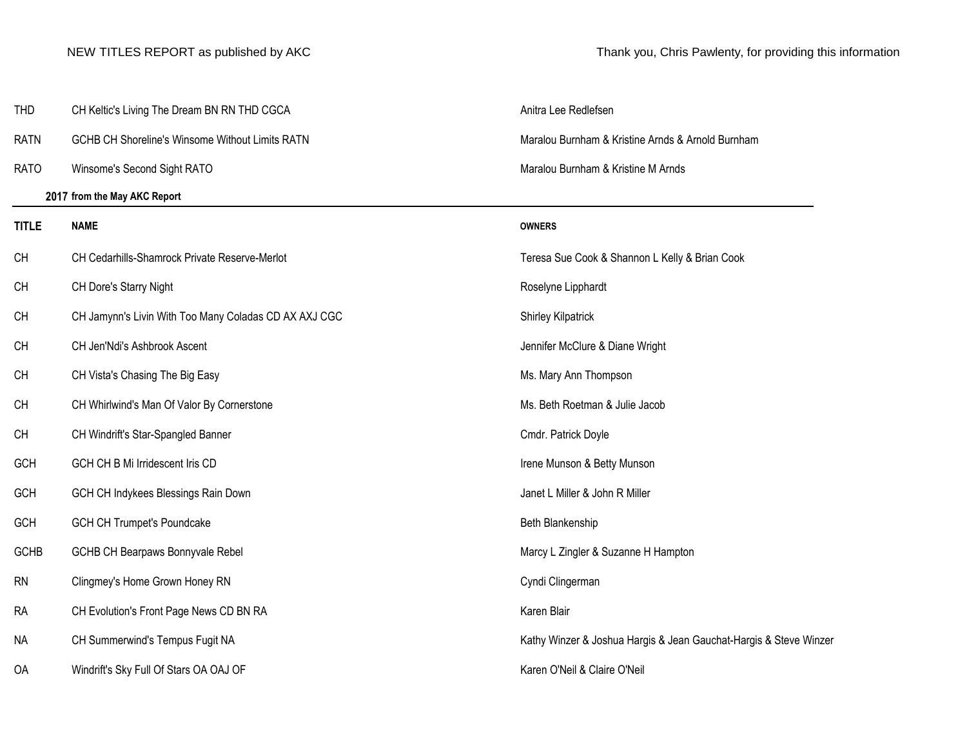| <b>THD</b>   | CH Keltic's Living The Dream BN RN THD CGCA            | Anitra Lee Redlefsen                                              |
|--------------|--------------------------------------------------------|-------------------------------------------------------------------|
| <b>RATN</b>  | <b>GCHB CH Shoreline's Winsome Without Limits RATN</b> | Maralou Burnham & Kristine Arnds & Arnold Burnham                 |
| <b>RATO</b>  | Winsome's Second Sight RATO                            | Maralou Burnham & Kristine M Arnds                                |
|              | 2017 from the May AKC Report                           |                                                                   |
| <b>TITLE</b> | <b>NAME</b>                                            | <b>OWNERS</b>                                                     |
| <b>CH</b>    | CH Cedarhills-Shamrock Private Reserve-Merlot          | Teresa Sue Cook & Shannon L Kelly & Brian Cook                    |
| <b>CH</b>    | CH Dore's Starry Night                                 | Roselyne Lipphardt                                                |
| CH           | CH Jamynn's Livin With Too Many Coladas CD AX AXJ CGC  | <b>Shirley Kilpatrick</b>                                         |
| <b>CH</b>    | CH Jen'Ndi's Ashbrook Ascent                           | Jennifer McClure & Diane Wright                                   |
| <b>CH</b>    | CH Vista's Chasing The Big Easy                        | Ms. Mary Ann Thompson                                             |
| <b>CH</b>    | CH Whirlwind's Man Of Valor By Cornerstone             | Ms. Beth Roetman & Julie Jacob                                    |
| <b>CH</b>    | CH Windrift's Star-Spangled Banner                     | Cmdr. Patrick Doyle                                               |
| <b>GCH</b>   | GCH CH B Mi Irridescent Iris CD                        | Irene Munson & Betty Munson                                       |
| GCH          | GCH CH Indykees Blessings Rain Down                    | Janet L Miller & John R Miller                                    |
| GCH          | <b>GCH CH Trumpet's Poundcake</b>                      | Beth Blankenship                                                  |
| <b>GCHB</b>  | GCHB CH Bearpaws Bonnyvale Rebel                       | Marcy L Zingler & Suzanne H Hampton                               |
| <b>RN</b>    | Clingmey's Home Grown Honey RN                         | Cyndi Clingerman                                                  |
| <b>RA</b>    | CH Evolution's Front Page News CD BN RA                | Karen Blair                                                       |
| <b>NA</b>    | CH Summerwind's Tempus Fugit NA                        | Kathy Winzer & Joshua Hargis & Jean Gauchat-Hargis & Steve Winzer |
| <b>OA</b>    | Windrift's Sky Full Of Stars OA OAJ OF                 | Karen O'Neil & Claire O'Neil                                      |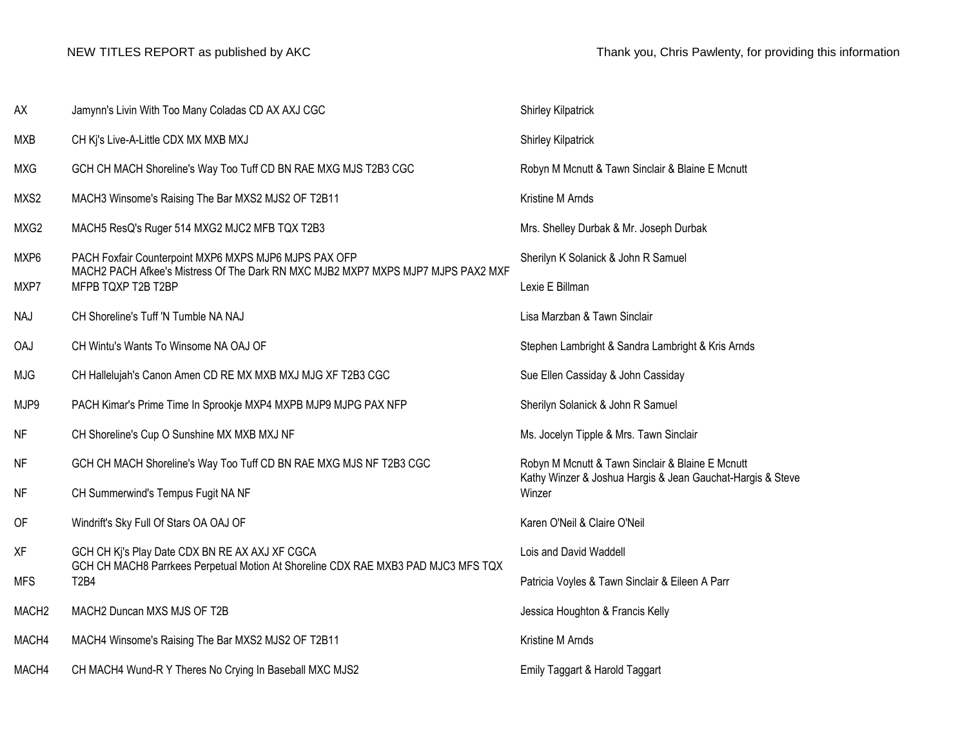| АX                | Jamynn's Livin With Too Many Coladas CD AX AXJ CGC                                                                                        | <b>Shirley Kilpatrick</b>                                                                                      |
|-------------------|-------------------------------------------------------------------------------------------------------------------------------------------|----------------------------------------------------------------------------------------------------------------|
| <b>MXB</b>        | CH Ki's Live-A-Little CDX MX MXB MXJ                                                                                                      | <b>Shirley Kilpatrick</b>                                                                                      |
| MXG               | GCH CH MACH Shoreline's Way Too Tuff CD BN RAE MXG MJS T2B3 CGC                                                                           | Robyn M Mcnutt & Tawn Sinclair & Blaine E Mcnutt                                                               |
| MXS2              | MACH3 Winsome's Raising The Bar MXS2 MJS2 OF T2B11                                                                                        | Kristine M Arnds                                                                                               |
| MXG2              | MACH5 ResQ's Ruger 514 MXG2 MJC2 MFB TQX T2B3                                                                                             | Mrs. Shelley Durbak & Mr. Joseph Durbak                                                                        |
| MXP6              | PACH Foxfair Counterpoint MXP6 MXPS MJP6 MJPS PAX OFP<br>MACH2 PACH Afkee's Mistress Of The Dark RN MXC MJB2 MXP7 MXPS MJP7 MJPS PAX2 MXF | Sherilyn K Solanick & John R Samuel                                                                            |
| MXP7              | MFPB TQXP T2B T2BP                                                                                                                        | Lexie E Billman                                                                                                |
| <b>NAJ</b>        | CH Shoreline's Tuff 'N Tumble NA NAJ                                                                                                      | Lisa Marzban & Tawn Sinclair                                                                                   |
| <b>OAJ</b>        | CH Wintu's Wants To Winsome NA OAJ OF                                                                                                     | Stephen Lambright & Sandra Lambright & Kris Arnds                                                              |
| MJG               | CH Hallelujah's Canon Amen CD RE MX MXB MXJ MJG XF T2B3 CGC                                                                               | Sue Ellen Cassiday & John Cassiday                                                                             |
| MJP9              | PACH Kimar's Prime Time In Sprookje MXP4 MXPB MJP9 MJPG PAX NFP                                                                           | Sherilyn Solanick & John R Samuel                                                                              |
| ΝF                | CH Shoreline's Cup O Sunshine MX MXB MXJ NF                                                                                               | Ms. Jocelyn Tipple & Mrs. Tawn Sinclair                                                                        |
| ΝF                | GCH CH MACH Shoreline's Way Too Tuff CD BN RAE MXG MJS NF T2B3 CGC                                                                        | Robyn M Mcnutt & Tawn Sinclair & Blaine E Mcnutt<br>Kathy Winzer & Joshua Hargis & Jean Gauchat-Hargis & Steve |
| ΝF                | CH Summerwind's Tempus Fugit NA NF                                                                                                        | Winzer                                                                                                         |
| 0F                | Windrift's Sky Full Of Stars OA OAJ OF                                                                                                    | Karen O'Neil & Claire O'Neil                                                                                   |
| ΧF                | GCH CH Ki's Play Date CDX BN RE AX AXJ XF CGCA<br>GCH CH MACH8 Parrkees Perpetual Motion At Shoreline CDX RAE MXB3 PAD MJC3 MFS TQX       | Lois and David Waddell                                                                                         |
| MFS               | <b>T2B4</b>                                                                                                                               | Patricia Voyles & Tawn Sinclair & Eileen A Parr                                                                |
| MACH <sub>2</sub> | MACH2 Duncan MXS MJS OF T2B                                                                                                               | Jessica Houghton & Francis Kelly                                                                               |
| MACH4             | MACH4 Winsome's Raising The Bar MXS2 MJS2 OF T2B11                                                                                        | Kristine M Arnds                                                                                               |
| MACH4             | CH MACH4 Wund-R Y Theres No Crying In Baseball MXC MJS2                                                                                   | Emily Taggart & Harold Taggart                                                                                 |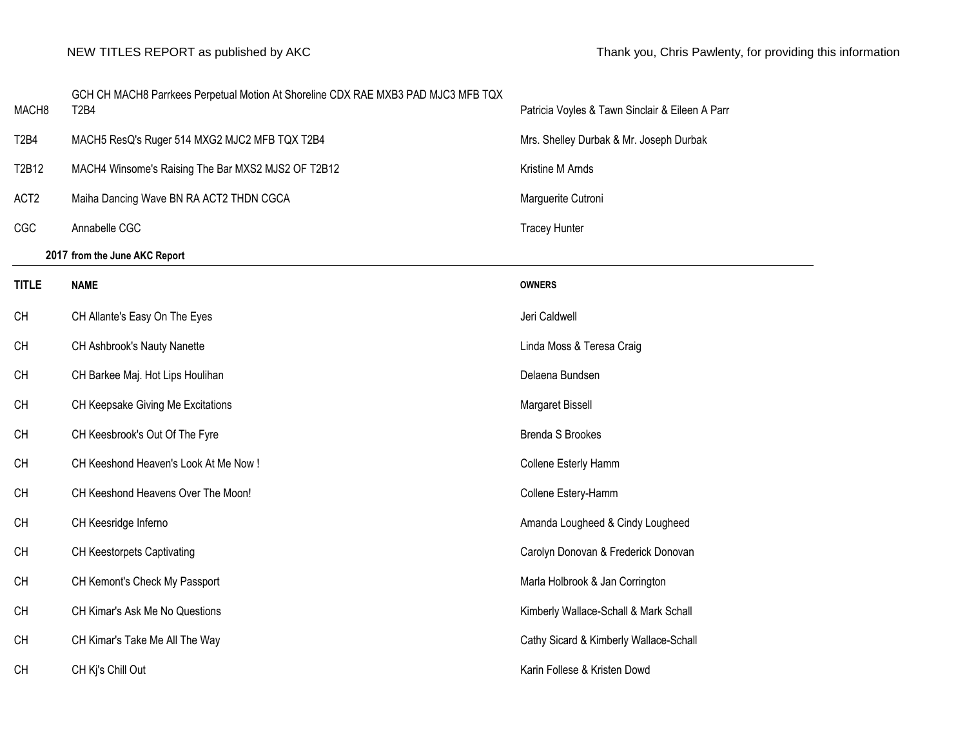| MACH <sub>8</sub>             | GCH CH MACH8 Parrkees Perpetual Motion At Shoreline CDX RAE MXB3 PAD MJC3 MFB TQX<br>T <sub>2</sub> B <sub>4</sub> | Patricia Voyles & Tawn Sinclair & Eileen A Parr |
|-------------------------------|--------------------------------------------------------------------------------------------------------------------|-------------------------------------------------|
| T <sub>2</sub> B <sub>4</sub> | MACH5 ResQ's Ruger 514 MXG2 MJC2 MFB TQX T2B4                                                                      | Mrs. Shelley Durbak & Mr. Joseph Durbak         |
| T2B12                         | MACH4 Winsome's Raising The Bar MXS2 MJS2 OF T2B12                                                                 | Kristine M Arnds                                |
| ACT <sub>2</sub>              | Maiha Dancing Wave BN RA ACT2 THDN CGCA                                                                            | Marguerite Cutroni                              |
| CGC                           | Annabelle CGC                                                                                                      | <b>Tracey Hunter</b>                            |
|                               | 2017 from the June AKC Report                                                                                      |                                                 |
| <b>TITLE</b>                  | <b>NAME</b>                                                                                                        | <b>OWNERS</b>                                   |
| <b>CH</b>                     | CH Allante's Easy On The Eyes                                                                                      | Jeri Caldwell                                   |
| <b>CH</b>                     | CH Ashbrook's Nauty Nanette                                                                                        | Linda Moss & Teresa Craig                       |
| <b>CH</b>                     | CH Barkee Maj. Hot Lips Houlihan                                                                                   | Delaena Bundsen                                 |
| CH                            | CH Keepsake Giving Me Excitations                                                                                  | Margaret Bissell                                |
| <b>CH</b>                     | CH Keesbrook's Out Of The Fyre                                                                                     | Brenda S Brookes                                |
| <b>CH</b>                     | CH Keeshond Heaven's Look At Me Now !                                                                              | Collene Esterly Hamm                            |
| <b>CH</b>                     | CH Keeshond Heavens Over The Moon!                                                                                 | Collene Estery-Hamm                             |
| <b>CH</b>                     | CH Keesridge Inferno                                                                                               | Amanda Lougheed & Cindy Lougheed                |
| <b>CH</b>                     | CH Keestorpets Captivating                                                                                         | Carolyn Donovan & Frederick Donovan             |
| <b>CH</b>                     | CH Kemont's Check My Passport                                                                                      | Marla Holbrook & Jan Corrington                 |
| CH                            | CH Kimar's Ask Me No Questions                                                                                     | Kimberly Wallace-Schall & Mark Schall           |
| <b>CH</b>                     | CH Kimar's Take Me All The Way                                                                                     | Cathy Sicard & Kimberly Wallace-Schall          |
| <b>CH</b>                     | CH Kj's Chill Out                                                                                                  | Karin Follese & Kristen Dowd                    |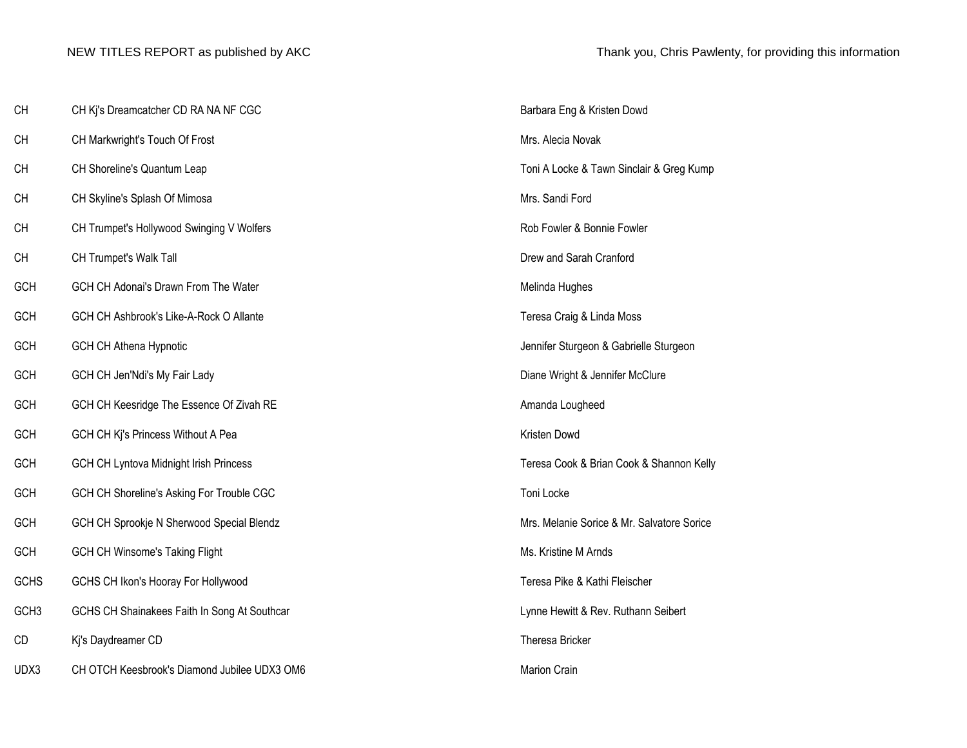| CH               | CH Ki's Dreamcatcher CD RA NA NF CGC         | Barbara Eng & Kristen Dowd                 |
|------------------|----------------------------------------------|--------------------------------------------|
| <b>CH</b>        | CH Markwright's Touch Of Frost               | Mrs. Alecia Novak                          |
| CH               | CH Shoreline's Quantum Leap                  | Toni A Locke & Tawn Sinclair & Greg Kump   |
| <b>CH</b>        | CH Skyline's Splash Of Mimosa                | Mrs. Sandi Ford                            |
| <b>CH</b>        | CH Trumpet's Hollywood Swinging V Wolfers    | Rob Fowler & Bonnie Fowler                 |
| <b>CH</b>        | CH Trumpet's Walk Tall                       | Drew and Sarah Cranford                    |
| GCH              | GCH CH Adonai's Drawn From The Water         | Melinda Hughes                             |
| GCH              | GCH CH Ashbrook's Like-A-Rock O Allante      | Teresa Craig & Linda Moss                  |
| GCH              | <b>GCH CH Athena Hypnotic</b>                | Jennifer Sturgeon & Gabrielle Sturgeon     |
| GCH              | GCH CH Jen'Ndi's My Fair Lady                | Diane Wright & Jennifer McClure            |
| <b>GCH</b>       | GCH CH Keesridge The Essence Of Zivah RE     | Amanda Lougheed                            |
| GCH              | GCH CH Kj's Princess Without A Pea           | Kristen Dowd                               |
| GCH              | GCH CH Lyntova Midnight Irish Princess       | Teresa Cook & Brian Cook & Shannon Kelly   |
| GCH              | GCH CH Shoreline's Asking For Trouble CGC    | Toni Locke                                 |
| GCH              | GCH CH Sprookje N Sherwood Special Blendz    | Mrs. Melanie Sorice & Mr. Salvatore Sorice |
| GCH              | <b>GCH CH Winsome's Taking Flight</b>        | Ms. Kristine M Arnds                       |
| <b>GCHS</b>      | GCHS CH Ikon's Hooray For Hollywood          | Teresa Pike & Kathi Fleischer              |
| GCH <sub>3</sub> | GCHS CH Shainakees Faith In Song At Southcar | Lynne Hewitt & Rev. Ruthann Seibert        |
| CD               | Kj's Daydreamer CD                           | Theresa Bricker                            |
| UDX3             | CH OTCH Keesbrook's Diamond Jubilee UDX3 OM6 | Marion Crain                               |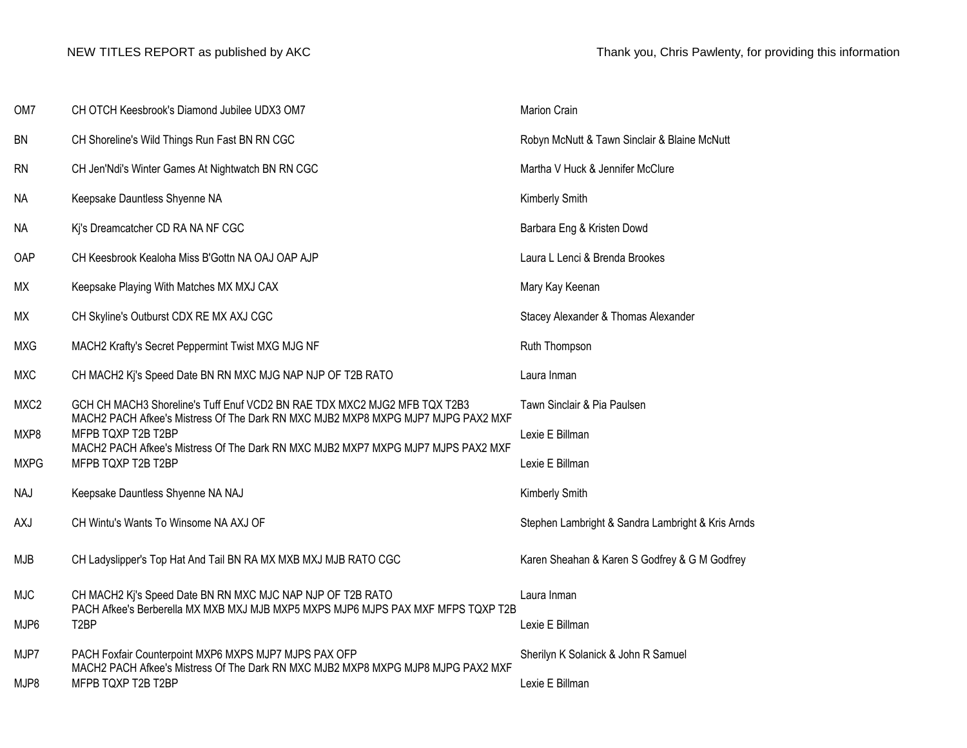| OM7         | CH OTCH Keesbrook's Diamond Jubilee UDX3 OM7                                                                                                                  | Marion Crain                                      |
|-------------|---------------------------------------------------------------------------------------------------------------------------------------------------------------|---------------------------------------------------|
| <b>BN</b>   | CH Shoreline's Wild Things Run Fast BN RN CGC                                                                                                                 | Robyn McNutt & Tawn Sinclair & Blaine McNutt      |
| <b>RN</b>   | CH Jen'Ndi's Winter Games At Nightwatch BN RN CGC                                                                                                             | Martha V Huck & Jennifer McClure                  |
| <b>NA</b>   | Keepsake Dauntless Shyenne NA                                                                                                                                 | Kimberly Smith                                    |
| <b>NA</b>   | Kj's Dreamcatcher CD RA NA NF CGC                                                                                                                             | Barbara Eng & Kristen Dowd                        |
| OAP         | CH Keesbrook Kealoha Miss B'Gottn NA OAJ OAP AJP                                                                                                              | Laura L Lenci & Brenda Brookes                    |
| МX          | Keepsake Playing With Matches MX MXJ CAX                                                                                                                      | Mary Kay Keenan                                   |
| <b>MX</b>   | CH Skyline's Outburst CDX RE MX AXJ CGC                                                                                                                       | Stacey Alexander & Thomas Alexander               |
| <b>MXG</b>  | MACH2 Krafty's Secret Peppermint Twist MXG MJG NF                                                                                                             | Ruth Thompson                                     |
| <b>MXC</b>  | CH MACH2 Kj's Speed Date BN RN MXC MJG NAP NJP OF T2B RATO                                                                                                    | Laura Inman                                       |
| MXC2        | GCH CH MACH3 Shoreline's Tuff Enuf VCD2 BN RAE TDX MXC2 MJG2 MFB TQX T2B3<br>MACH2 PACH Afkee's Mistress Of The Dark RN MXC MJB2 MXP8 MXPG MJP7 MJPG PAX2 MXF | Tawn Sinclair & Pia Paulsen                       |
| MXP8        | MFPB TQXP T2B T2BP<br>MACH2 PACH Afkee's Mistress Of The Dark RN MXC MJB2 MXP7 MXPG MJP7 MJPS PAX2 MXF                                                        | Lexie E Billman                                   |
| <b>MXPG</b> | MFPB TQXP T2B T2BP                                                                                                                                            | Lexie E Billman                                   |
| <b>NAJ</b>  | Keepsake Dauntless Shyenne NA NAJ                                                                                                                             | Kimberly Smith                                    |
| <b>AXJ</b>  | CH Wintu's Wants To Winsome NA AXJ OF                                                                                                                         | Stephen Lambright & Sandra Lambright & Kris Arnds |
| MJB         | CH Ladyslipper's Top Hat And Tail BN RA MX MXB MXJ MJB RATO CGC                                                                                               | Karen Sheahan & Karen S Godfrey & G M Godfrey     |
| <b>MJC</b>  | CH MACH2 Ki's Speed Date BN RN MXC MJC NAP NJP OF T2B RATO<br>PACH Afkee's Berberella MX MXB MXJ MJB MXP5 MXPS MJP6 MJPS PAX MXF MFPS TQXP T2B                | Laura Inman                                       |
| MJP6        | T <sub>2</sub> BP                                                                                                                                             | Lexie E Billman                                   |
| MJP7        | PACH Foxfair Counterpoint MXP6 MXPS MJP7 MJPS PAX OFP<br>MACH2 PACH Afkee's Mistress Of The Dark RN MXC MJB2 MXP8 MXPG MJP8 MJPG PAX2 MXF                     | Sherilyn K Solanick & John R Samuel               |
| MJP8        | MFPB TQXP T2B T2BP                                                                                                                                            | Lexie E Billman                                   |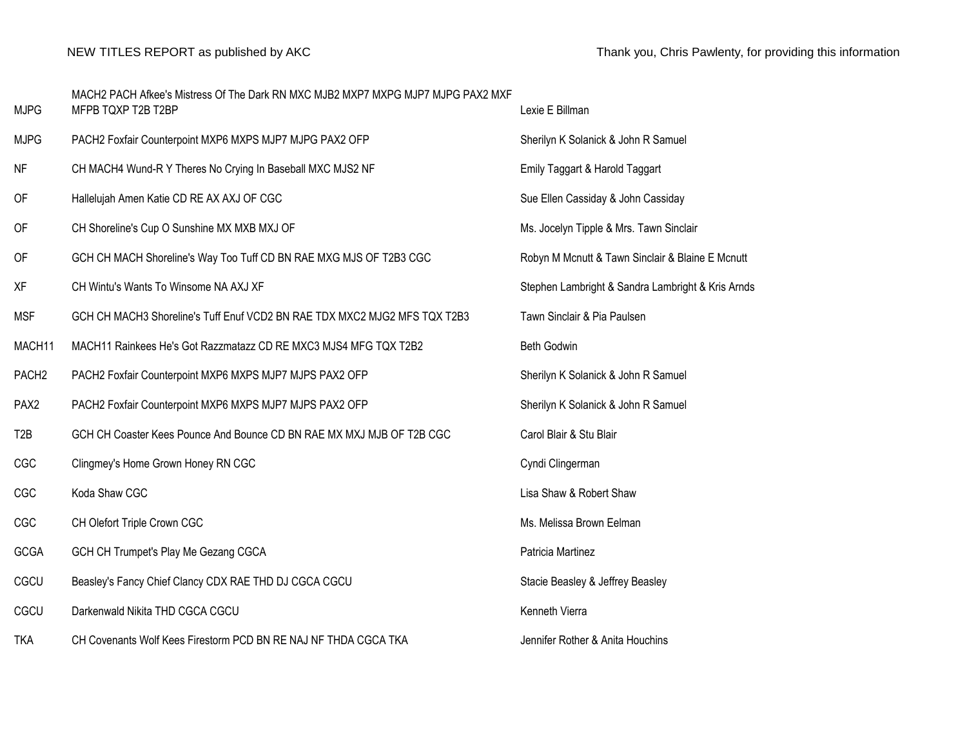| <b>MJPG</b>       | MACH2 PACH Afkee's Mistress Of The Dark RN MXC MJB2 MXP7 MXPG MJP7 MJPG PAX2 MXF<br>MFPB TQXP T2B T2BP | Lexie E Billman                                   |
|-------------------|--------------------------------------------------------------------------------------------------------|---------------------------------------------------|
| <b>MJPG</b>       | PACH2 Foxfair Counterpoint MXP6 MXPS MJP7 MJPG PAX2 OFP                                                | Sherilyn K Solanick & John R Samuel               |
| NF                | CH MACH4 Wund-R Y Theres No Crying In Baseball MXC MJS2 NF                                             | Emily Taggart & Harold Taggart                    |
| OF                | Hallelujah Amen Katie CD RE AX AXJ OF CGC                                                              | Sue Ellen Cassiday & John Cassiday                |
| OF                | CH Shoreline's Cup O Sunshine MX MXB MXJ OF                                                            | Ms. Jocelyn Tipple & Mrs. Tawn Sinclair           |
| OF                | GCH CH MACH Shoreline's Way Too Tuff CD BN RAE MXG MJS OF T2B3 CGC                                     | Robyn M Mcnutt & Tawn Sinclair & Blaine E Mcnutt  |
| XF                | CH Wintu's Wants To Winsome NA AXJ XF                                                                  | Stephen Lambright & Sandra Lambright & Kris Arnds |
| <b>MSF</b>        | GCH CH MACH3 Shoreline's Tuff Enuf VCD2 BN RAE TDX MXC2 MJG2 MFS TQX T2B3                              | Tawn Sinclair & Pia Paulsen                       |
| MACH11            | MACH11 Rainkees He's Got Razzmatazz CD RE MXC3 MJS4 MFG TQX T2B2                                       | <b>Beth Godwin</b>                                |
| PACH <sub>2</sub> | PACH2 Foxfair Counterpoint MXP6 MXPS MJP7 MJPS PAX2 OFP                                                | Sherilyn K Solanick & John R Samuel               |
| PAX <sub>2</sub>  | PACH2 Foxfair Counterpoint MXP6 MXPS MJP7 MJPS PAX2 OFP                                                | Sherilyn K Solanick & John R Samuel               |
| T <sub>2</sub> B  | GCH CH Coaster Kees Pounce And Bounce CD BN RAE MX MXJ MJB OF T2B CGC                                  | Carol Blair & Stu Blair                           |
| CGC               | Clingmey's Home Grown Honey RN CGC                                                                     | Cyndi Clingerman                                  |
| CGC               | Koda Shaw CGC                                                                                          | Lisa Shaw & Robert Shaw                           |
| CGC               | CH Olefort Triple Crown CGC                                                                            | Ms. Melissa Brown Eelman                          |
| <b>GCGA</b>       | GCH CH Trumpet's Play Me Gezang CGCA                                                                   | Patricia Martinez                                 |
| CGCU              | Beasley's Fancy Chief Clancy CDX RAE THD DJ CGCA CGCU                                                  | Stacie Beasley & Jeffrey Beasley                  |
| CGCU              | Darkenwald Nikita THD CGCA CGCU                                                                        | Kenneth Vierra                                    |
| <b>TKA</b>        | CH Covenants Wolf Kees Firestorm PCD BN RE NAJ NF THDA CGCA TKA                                        | Jennifer Rother & Anita Houchins                  |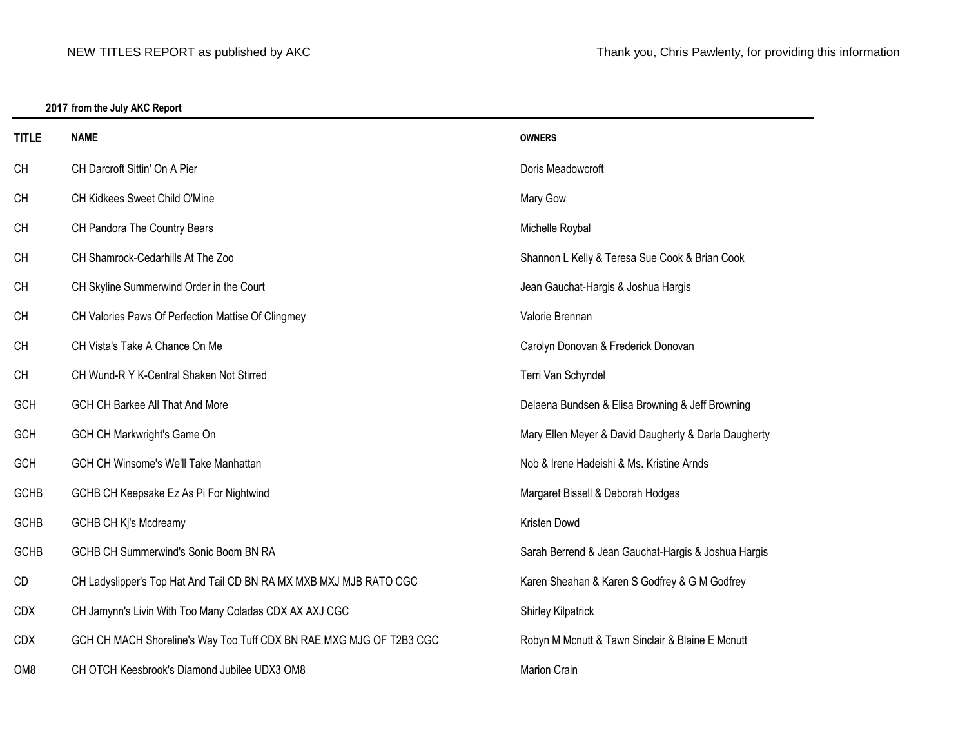## **2017 from the July AKC Report**

| <b>TITLE</b>    | <b>NAME</b>                                                         | <b>OWNERS</b>                                        |
|-----------------|---------------------------------------------------------------------|------------------------------------------------------|
| CH              | CH Darcroft Sittin' On A Pier                                       | Doris Meadowcroft                                    |
| <b>CH</b>       | CH Kidkees Sweet Child O'Mine                                       | Mary Gow                                             |
| <b>CH</b>       | CH Pandora The Country Bears                                        | Michelle Roybal                                      |
| <b>CH</b>       | CH Shamrock-Cedarhills At The Zoo                                   | Shannon L Kelly & Teresa Sue Cook & Brian Cook       |
| <b>CH</b>       | CH Skyline Summerwind Order in the Court                            | Jean Gauchat-Hargis & Joshua Hargis                  |
| <b>CH</b>       | CH Valories Paws Of Perfection Mattise Of Clingmey                  | Valorie Brennan                                      |
| <b>CH</b>       | CH Vista's Take A Chance On Me                                      | Carolyn Donovan & Frederick Donovan                  |
| <b>CH</b>       | CH Wund-R Y K-Central Shaken Not Stirred                            | Terri Van Schyndel                                   |
| <b>GCH</b>      | GCH CH Barkee All That And More                                     | Delaena Bundsen & Elisa Browning & Jeff Browning     |
| <b>GCH</b>      | GCH CH Markwright's Game On                                         | Mary Ellen Meyer & David Daugherty & Darla Daugherty |
| GCH             | GCH CH Winsome's We'll Take Manhattan                               | Nob & Irene Hadeishi & Ms. Kristine Arnds            |
| <b>GCHB</b>     | GCHB CH Keepsake Ez As Pi For Nightwind                             | Margaret Bissell & Deborah Hodges                    |
| <b>GCHB</b>     | GCHB CH Kj's Mcdreamy                                               | Kristen Dowd                                         |
| <b>GCHB</b>     | GCHB CH Summerwind's Sonic Boom BN RA                               | Sarah Berrend & Jean Gauchat-Hargis & Joshua Hargis  |
| CD              | CH Ladyslipper's Top Hat And Tail CD BN RA MX MXB MXJ MJB RATO CGC  | Karen Sheahan & Karen S Godfrey & G M Godfrey        |
| <b>CDX</b>      | CH Jamynn's Livin With Too Many Coladas CDX AX AXJ CGC              | <b>Shirley Kilpatrick</b>                            |
| <b>CDX</b>      | GCH CH MACH Shoreline's Way Too Tuff CDX BN RAE MXG MJG OF T2B3 CGC | Robyn M Mcnutt & Tawn Sinclair & Blaine E Mcnutt     |
| OM <sub>8</sub> | CH OTCH Keesbrook's Diamond Jubilee UDX3 OM8                        | <b>Marion Crain</b>                                  |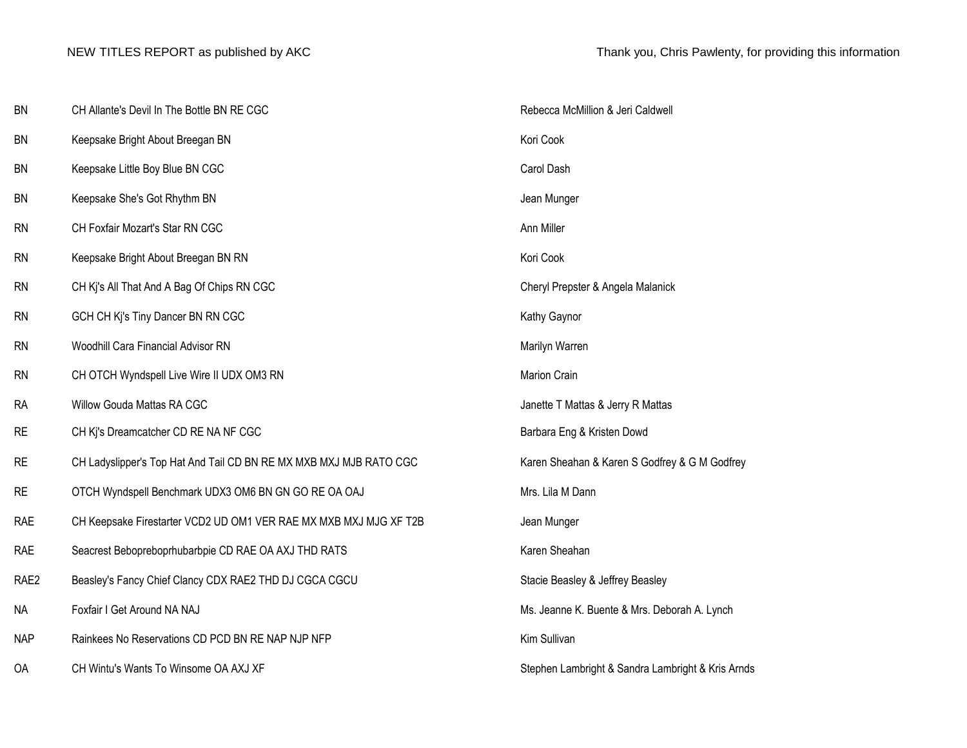| <b>BN</b>        | CH Allante's Devil In The Bottle BN RE CGC                         | Rebecca McMillion & Jeri Caldwell                 |
|------------------|--------------------------------------------------------------------|---------------------------------------------------|
| <b>BN</b>        | Keepsake Bright About Breegan BN                                   | Kori Cook                                         |
| <b>BN</b>        | Keepsake Little Boy Blue BN CGC                                    | Carol Dash                                        |
| <b>BN</b>        | Keepsake She's Got Rhythm BN                                       | Jean Munger                                       |
| <b>RN</b>        | CH Foxfair Mozart's Star RN CGC                                    | Ann Miller                                        |
| <b>RN</b>        | Keepsake Bright About Breegan BN RN                                | Kori Cook                                         |
| <b>RN</b>        | CH Kj's All That And A Bag Of Chips RN CGC                         | Cheryl Prepster & Angela Malanick                 |
| <b>RN</b>        | GCH CH Kj's Tiny Dancer BN RN CGC                                  | Kathy Gaynor                                      |
| <b>RN</b>        | Woodhill Cara Financial Advisor RN                                 | Marilyn Warren                                    |
| <b>RN</b>        | CH OTCH Wyndspell Live Wire II UDX OM3 RN                          | Marion Crain                                      |
| <b>RA</b>        | Willow Gouda Mattas RA CGC                                         | Janette T Mattas & Jerry R Mattas                 |
| <b>RE</b>        | CH Kj's Dreamcatcher CD RE NA NF CGC                               | Barbara Eng & Kristen Dowd                        |
| <b>RE</b>        | CH Ladyslipper's Top Hat And Tail CD BN RE MX MXB MXJ MJB RATO CGC | Karen Sheahan & Karen S Godfrey & G M Godfrey     |
| <b>RE</b>        | OTCH Wyndspell Benchmark UDX3 OM6 BN GN GO RE OA OAJ               | Mrs. Lila M Dann                                  |
| RAE              | CH Keepsake Firestarter VCD2 UD OM1 VER RAE MX MXB MXJ MJG XF T2B  | Jean Munger                                       |
| RAE              | Seacrest Bebopreboprhubarbpie CD RAE OA AXJ THD RATS               | Karen Sheahan                                     |
| RAE <sub>2</sub> | Beasley's Fancy Chief Clancy CDX RAE2 THD DJ CGCA CGCU             | Stacie Beasley & Jeffrey Beasley                  |
| <b>NA</b>        | Foxfair I Get Around NA NAJ                                        | Ms. Jeanne K. Buente & Mrs. Deborah A. Lynch      |
| <b>NAP</b>       | Rainkees No Reservations CD PCD BN RE NAP NJP NFP                  | Kim Sullivan                                      |
| <b>OA</b>        | CH Wintu's Wants To Winsome OA AXJ XF                              | Stephen Lambright & Sandra Lambright & Kris Arnds |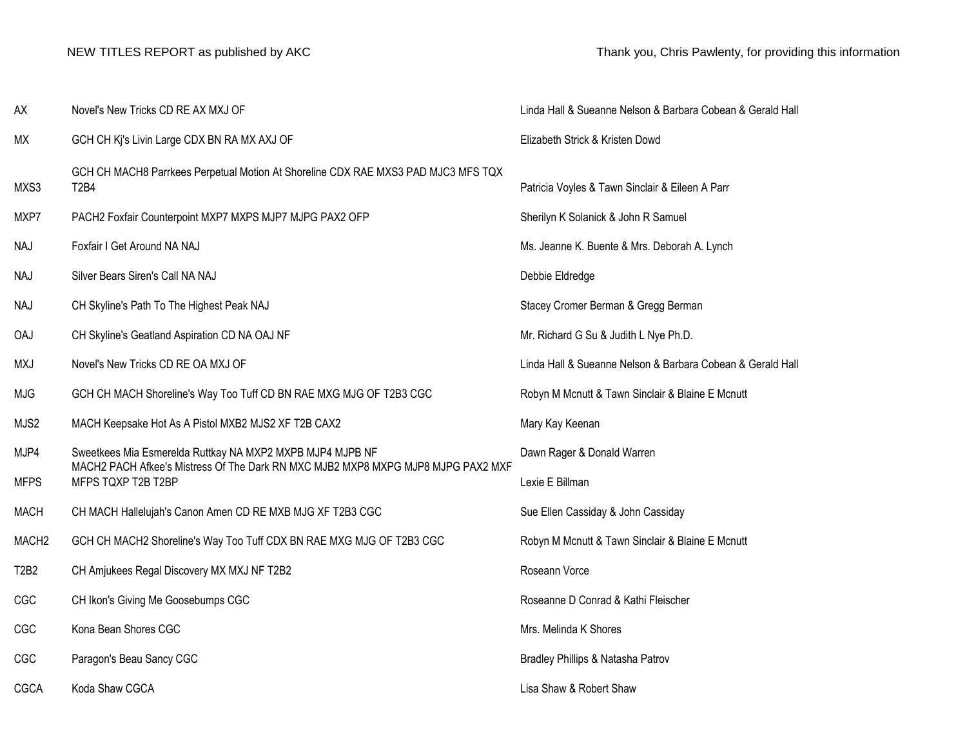| AX                | Novel's New Tricks CD RE AX MXJ OF                                                                                                            | Linda Hall & Sueanne Nelson & Barbara Cobean & Gerald Hall |
|-------------------|-----------------------------------------------------------------------------------------------------------------------------------------------|------------------------------------------------------------|
| MX                | GCH CH Kj's Livin Large CDX BN RA MX AXJ OF                                                                                                   | Elizabeth Strick & Kristen Dowd                            |
| MXS3              | GCH CH MACH8 Parrkees Perpetual Motion At Shoreline CDX RAE MXS3 PAD MJC3 MFS TQX<br><b>T2B4</b>                                              | Patricia Voyles & Tawn Sinclair & Eileen A Parr            |
| MXP7              | PACH2 Foxfair Counterpoint MXP7 MXPS MJP7 MJPG PAX2 OFP                                                                                       | Sherilyn K Solanick & John R Samuel                        |
| NAJ               | Foxfair I Get Around NA NAJ                                                                                                                   | Ms. Jeanne K. Buente & Mrs. Deborah A. Lynch               |
| <b>NAJ</b>        | Silver Bears Siren's Call NA NAJ                                                                                                              | Debbie Eldredge                                            |
| NAJ               | CH Skyline's Path To The Highest Peak NAJ                                                                                                     | Stacey Cromer Berman & Gregg Berman                        |
| OAJ               | CH Skyline's Geatland Aspiration CD NA OAJ NF                                                                                                 | Mr. Richard G Su & Judith L Nye Ph.D.                      |
| <b>MXJ</b>        | Novel's New Tricks CD RE OA MXJ OF                                                                                                            | Linda Hall & Sueanne Nelson & Barbara Cobean & Gerald Hall |
| MJG               | GCH CH MACH Shoreline's Way Too Tuff CD BN RAE MXG MJG OF T2B3 CGC                                                                            | Robyn M Mcnutt & Tawn Sinclair & Blaine E Mcnutt           |
| MJS2              | MACH Keepsake Hot As A Pistol MXB2 MJS2 XF T2B CAX2                                                                                           | Mary Kay Keenan                                            |
| MJP4              | Sweetkees Mia Esmerelda Ruttkay NA MXP2 MXPB MJP4 MJPB NF<br>MACH2 PACH Afkee's Mistress Of The Dark RN MXC MJB2 MXP8 MXPG MJP8 MJPG PAX2 MXF | Dawn Rager & Donald Warren                                 |
| <b>MFPS</b>       | MFPS TQXP T2B T2BP                                                                                                                            | Lexie E Billman                                            |
| <b>MACH</b>       | CH MACH Hallelujah's Canon Amen CD RE MXB MJG XF T2B3 CGC                                                                                     | Sue Ellen Cassiday & John Cassiday                         |
| MACH <sub>2</sub> | GCH CH MACH2 Shoreline's Way Too Tuff CDX BN RAE MXG MJG OF T2B3 CGC                                                                          | Robyn M Mcnutt & Tawn Sinclair & Blaine E Mcnutt           |
| T2B2              | CH Amjukees Regal Discovery MX MXJ NF T2B2                                                                                                    | Roseann Vorce                                              |
| CGC               | CH Ikon's Giving Me Goosebumps CGC                                                                                                            | Roseanne D Conrad & Kathi Fleischer                        |
| CGC               | Kona Bean Shores CGC                                                                                                                          | Mrs. Melinda K Shores                                      |
| CGC               | Paragon's Beau Sancy CGC                                                                                                                      | Bradley Phillips & Natasha Patrov                          |
| <b>CGCA</b>       | Koda Shaw CGCA                                                                                                                                | Lisa Shaw & Robert Shaw                                    |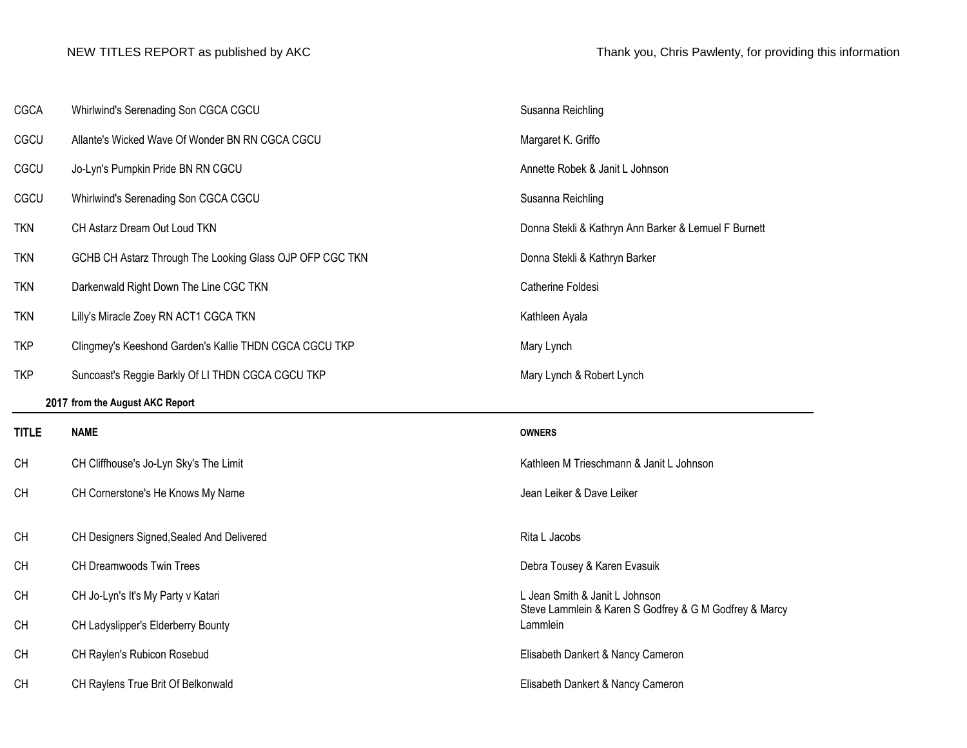| CGCA         | Whirlwind's Serenading Son CGCA CGCU                     | Susanna Reichling                                                  |
|--------------|----------------------------------------------------------|--------------------------------------------------------------------|
| CGCU         | Allante's Wicked Wave Of Wonder BN RN CGCA CGCU          | Margaret K. Griffo                                                 |
| CGCU         | Jo-Lyn's Pumpkin Pride BN RN CGCU                        | Annette Robek & Janit L Johnson                                    |
| CGCU         | Whirlwind's Serenading Son CGCA CGCU                     | Susanna Reichling                                                  |
| <b>TKN</b>   | CH Astarz Dream Out Loud TKN                             | Donna Stekli & Kathryn Ann Barker & Lemuel F Burnett               |
| <b>TKN</b>   | GCHB CH Astarz Through The Looking Glass OJP OFP CGC TKN | Donna Stekli & Kathryn Barker                                      |
| <b>TKN</b>   | Darkenwald Right Down The Line CGC TKN                   | Catherine Foldesi                                                  |
| <b>TKN</b>   | Lilly's Miracle Zoey RN ACT1 CGCA TKN                    | Kathleen Ayala                                                     |
| <b>TKP</b>   | Clingmey's Keeshond Garden's Kallie THDN CGCA CGCU TKP   | Mary Lynch                                                         |
| <b>TKP</b>   | Suncoast's Reggie Barkly Of LI THDN CGCA CGCU TKP        | Mary Lynch & Robert Lynch                                          |
|              |                                                          |                                                                    |
|              | 2017 from the August AKC Report                          |                                                                    |
| <b>TITLE</b> | <b>NAME</b>                                              | <b>OWNERS</b>                                                      |
| <b>CH</b>    | CH Cliffhouse's Jo-Lyn Sky's The Limit                   | Kathleen M Trieschmann & Janit L Johnson                           |
| <b>CH</b>    | CH Cornerstone's He Knows My Name                        | Jean Leiker & Dave Leiker                                          |
| <b>CH</b>    | CH Designers Signed, Sealed And Delivered                | Rita L Jacobs                                                      |
| <b>CH</b>    | CH Dreamwoods Twin Trees                                 | Debra Tousey & Karen Evasuik                                       |
| <b>CH</b>    | CH Jo-Lyn's It's My Party v Katari                       | L Jean Smith & Janit L Johnson                                     |
| <b>CH</b>    | CH Ladyslipper's Elderberry Bounty                       | Steve Lammlein & Karen S Godfrey & G M Godfrey & Marcy<br>Lammlein |
| <b>CH</b>    | CH Raylen's Rubicon Rosebud                              | Elisabeth Dankert & Nancy Cameron                                  |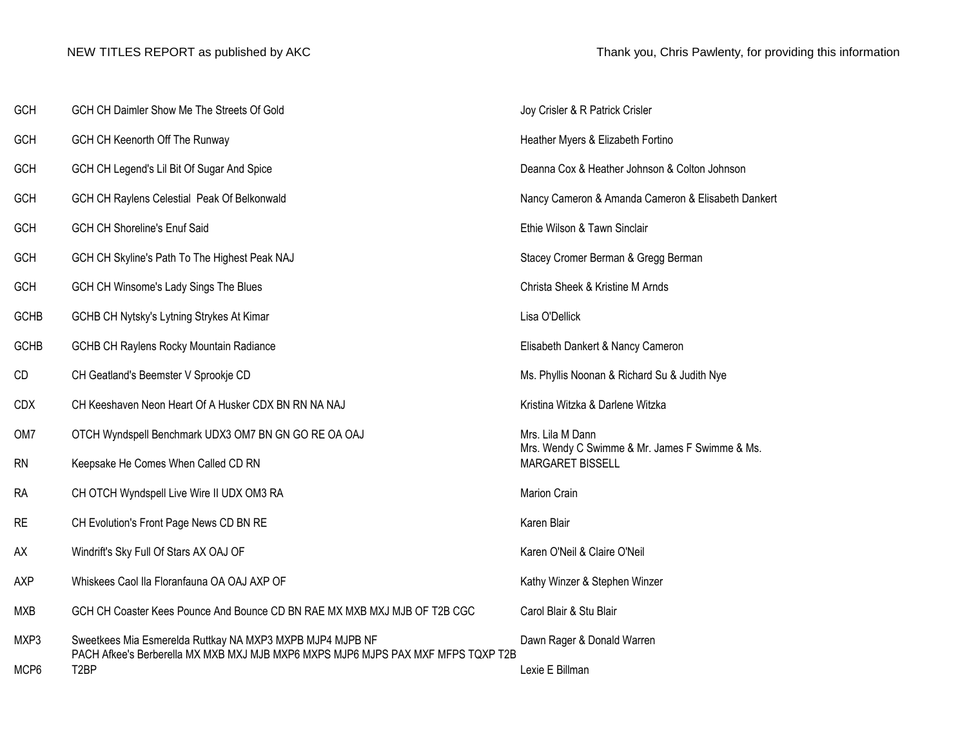| GCH         | GCH CH Daimler Show Me The Streets Of Gold                                                                                                    | Joy Crisler & R Patrick Crisler                                    |
|-------------|-----------------------------------------------------------------------------------------------------------------------------------------------|--------------------------------------------------------------------|
| GCH         | GCH CH Keenorth Off The Runway                                                                                                                | Heather Myers & Elizabeth Fortino                                  |
| <b>GCH</b>  | GCH CH Legend's Lil Bit Of Sugar And Spice                                                                                                    | Deanna Cox & Heather Johnson & Colton Johnson                      |
| GCH         | GCH CH Raylens Celestial Peak Of Belkonwald                                                                                                   | Nancy Cameron & Amanda Cameron & Elisabeth Dankert                 |
| GCH         | <b>GCH CH Shoreline's Enuf Said</b>                                                                                                           | Ethie Wilson & Tawn Sinclair                                       |
| GCH         | GCH CH Skyline's Path To The Highest Peak NAJ                                                                                                 | Stacey Cromer Berman & Gregg Berman                                |
| <b>GCH</b>  | GCH CH Winsome's Lady Sings The Blues                                                                                                         | Christa Sheek & Kristine M Arnds                                   |
| <b>GCHB</b> | GCHB CH Nytsky's Lytning Strykes At Kimar                                                                                                     | Lisa O'Dellick                                                     |
| <b>GCHB</b> | <b>GCHB CH Raylens Rocky Mountain Radiance</b>                                                                                                | Elisabeth Dankert & Nancy Cameron                                  |
| CD          | CH Geatland's Beemster V Sprookje CD                                                                                                          | Ms. Phyllis Noonan & Richard Su & Judith Nye                       |
| <b>CDX</b>  | CH Keeshaven Neon Heart Of A Husker CDX BN RN NA NAJ                                                                                          | Kristina Witzka & Darlene Witzka                                   |
| OM7         | OTCH Wyndspell Benchmark UDX3 OM7 BN GN GO RE OA OAJ                                                                                          | Mrs. Lila M Dann<br>Mrs. Wendy C Swimme & Mr. James F Swimme & Ms. |
| <b>RN</b>   | Keepsake He Comes When Called CD RN                                                                                                           | MARGARET BISSELL                                                   |
| <b>RA</b>   | CH OTCH Wyndspell Live Wire II UDX OM3 RA                                                                                                     | Marion Crain                                                       |
| <b>RE</b>   | CH Evolution's Front Page News CD BN RE                                                                                                       | Karen Blair                                                        |
| AX          | Windrift's Sky Full Of Stars AX OAJ OF                                                                                                        | Karen O'Neil & Claire O'Neil                                       |
| AXP         | Whiskees Caol IIa Floranfauna OA OAJ AXP OF                                                                                                   | Kathy Winzer & Stephen Winzer                                      |
| <b>MXB</b>  | GCH CH Coaster Kees Pounce And Bounce CD BN RAE MX MXB MXJ MJB OF T2B CGC                                                                     | Carol Blair & Stu Blair                                            |
| MXP3        | Sweetkees Mia Esmerelda Ruttkay NA MXP3 MXPB MJP4 MJPB NF<br>PACH Afkee's Berberella MX MXB MXJ MJB MXP6 MXPS MJP6 MJPS PAX MXF MFPS TQXP T2B | Dawn Rager & Donald Warren                                         |
| MCP6        | T <sub>2</sub> BP                                                                                                                             | Lexie E Billman                                                    |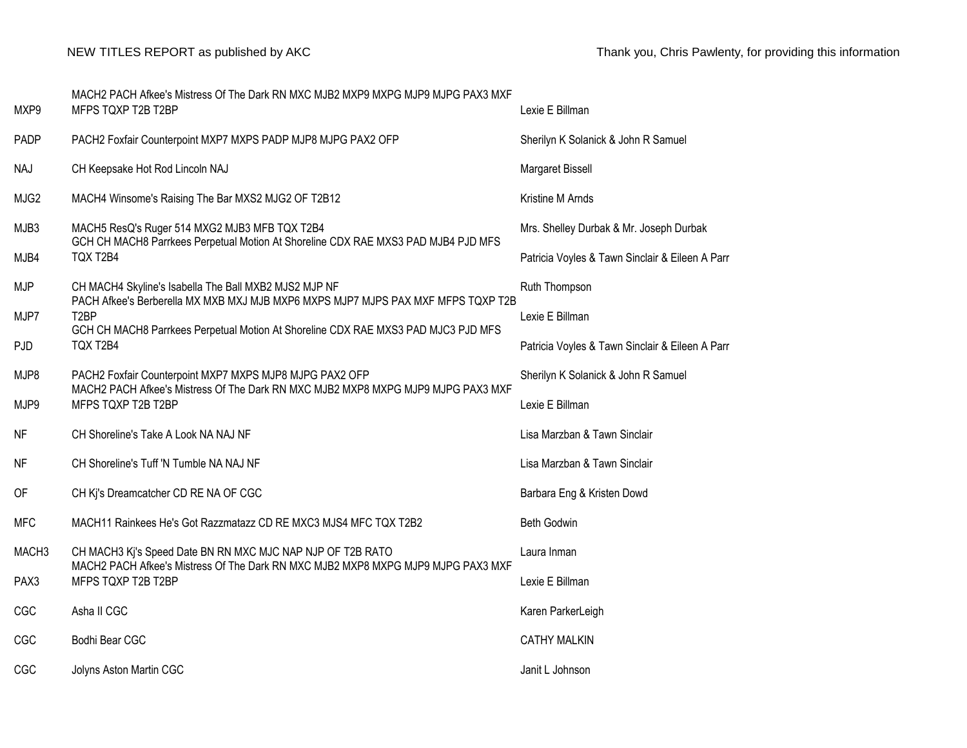| MXP9              | MACH2 PACH Afkee's Mistress Of The Dark RN MXC MJB2 MXP9 MXPG MJP9 MJPG PAX3 MXF<br>MFPS TQXP T2B T2BP                                         | Lexie E Billman                                 |
|-------------------|------------------------------------------------------------------------------------------------------------------------------------------------|-------------------------------------------------|
| PADP              | PACH2 Foxfair Counterpoint MXP7 MXPS PADP MJP8 MJPG PAX2 OFP                                                                                   | Sherilyn K Solanick & John R Samuel             |
| <b>NAJ</b>        | CH Keepsake Hot Rod Lincoln NAJ                                                                                                                | Margaret Bissell                                |
| MJG2              | MACH4 Winsome's Raising The Bar MXS2 MJG2 OF T2B12                                                                                             | Kristine M Arnds                                |
| MJB3              | MACH5 ResQ's Ruger 514 MXG2 MJB3 MFB TQX T2B4<br>GCH CH MACH8 Parrkees Perpetual Motion At Shoreline CDX RAE MXS3 PAD MJB4 PJD MFS             | Mrs. Shelley Durbak & Mr. Joseph Durbak         |
| MJB4              | TQX T2B4                                                                                                                                       | Patricia Voyles & Tawn Sinclair & Eileen A Parr |
| <b>MJP</b>        | CH MACH4 Skyline's Isabella The Ball MXB2 MJS2 MJP NF<br>PACH Afkee's Berberella MX MXB MXJ MJB MXP6 MXPS MJP7 MJPS PAX MXF MFPS TQXP T2B      | Ruth Thompson                                   |
| MJP7              | T <sub>2</sub> BP<br>GCH CH MACH8 Parrkees Perpetual Motion At Shoreline CDX RAE MXS3 PAD MJC3 PJD MFS                                         | Lexie E Billman                                 |
| <b>PJD</b>        | TQX T2B4                                                                                                                                       | Patricia Voyles & Tawn Sinclair & Eileen A Parr |
| MJP8              | PACH2 Foxfair Counterpoint MXP7 MXPS MJP8 MJPG PAX2 OFP<br>MACH2 PACH Afkee's Mistress Of The Dark RN MXC MJB2 MXP8 MXPG MJP9 MJPG PAX3 MXF    | Sherilyn K Solanick & John R Samuel             |
| MJP9              | MFPS TQXP T2B T2BP                                                                                                                             | Lexie E Billman                                 |
| <b>NF</b>         | CH Shoreline's Take A Look NA NAJ NF                                                                                                           | Lisa Marzban & Tawn Sinclair                    |
| <b>NF</b>         | CH Shoreline's Tuff 'N Tumble NA NAJ NF                                                                                                        | Lisa Marzban & Tawn Sinclair                    |
| OF                | CH Kj's Dreamcatcher CD RE NA OF CGC                                                                                                           | Barbara Eng & Kristen Dowd                      |
| <b>MFC</b>        | MACH11 Rainkees He's Got Razzmatazz CD RE MXC3 MJS4 MFC TQX T2B2                                                                               | <b>Beth Godwin</b>                              |
| MACH <sub>3</sub> | CH MACH3 Kj's Speed Date BN RN MXC MJC NAP NJP OF T2B RATO<br>MACH2 PACH Afkee's Mistress Of The Dark RN MXC MJB2 MXP8 MXPG MJP9 MJPG PAX3 MXF | Laura Inman                                     |
| PAX <sub>3</sub>  | MFPS TQXP T2B T2BP                                                                                                                             | Lexie E Billman                                 |
| CGC               | Asha II CGC                                                                                                                                    | Karen ParkerLeigh                               |
| CGC               | Bodhi Bear CGC                                                                                                                                 | <b>CATHY MALKIN</b>                             |
| CGC               | Jolyns Aston Martin CGC                                                                                                                        | Janit L Johnson                                 |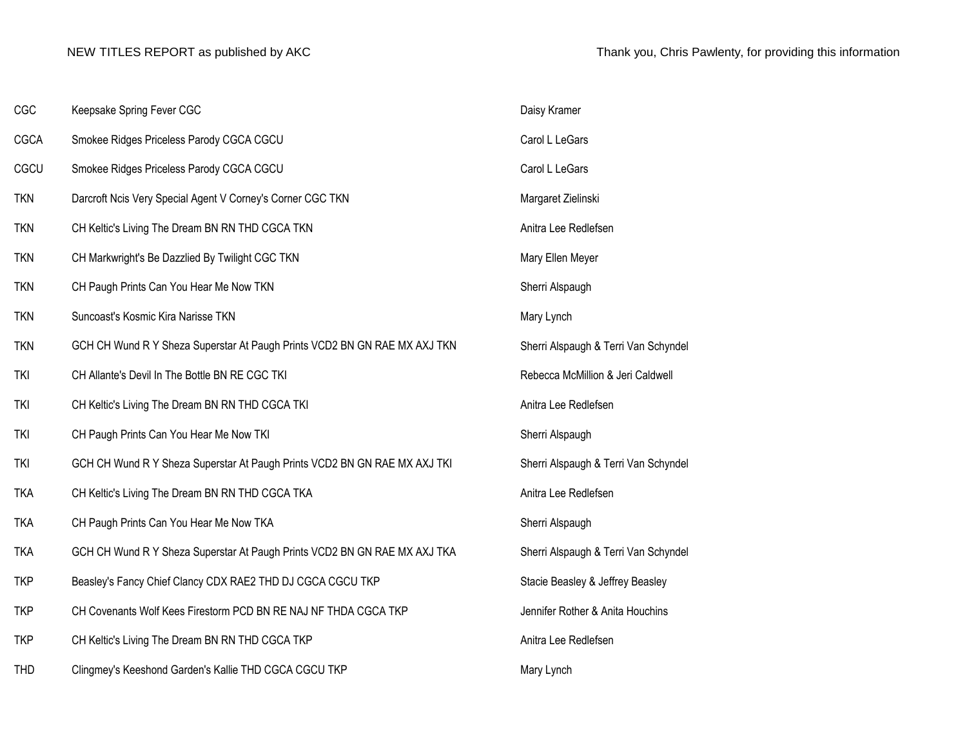| Keepsake Spring Fever CGC                                                 | Daisy Kramer                         |
|---------------------------------------------------------------------------|--------------------------------------|
| Smokee Ridges Priceless Parody CGCA CGCU                                  | Carol L LeGars                       |
| Smokee Ridges Priceless Parody CGCA CGCU                                  | Carol L LeGars                       |
| Darcroft Ncis Very Special Agent V Corney's Corner CGC TKN                | Margaret Zielinski                   |
| CH Keltic's Living The Dream BN RN THD CGCA TKN                           | Anitra Lee Redlefsen                 |
| CH Markwright's Be Dazzlied By Twilight CGC TKN                           | Mary Ellen Meyer                     |
| CH Paugh Prints Can You Hear Me Now TKN                                   | Sherri Alspaugh                      |
| Suncoast's Kosmic Kira Narisse TKN                                        | Mary Lynch                           |
| GCH CH Wund R Y Sheza Superstar At Paugh Prints VCD2 BN GN RAE MX AXJ TKN | Sherri Alspaugh & Terri Van Schyndel |
| CH Allante's Devil In The Bottle BN RE CGC TKI                            | Rebecca McMillion & Jeri Caldwell    |
| CH Keltic's Living The Dream BN RN THD CGCA TKI                           | Anitra Lee Redlefsen                 |
| CH Paugh Prints Can You Hear Me Now TKI                                   | Sherri Alspaugh                      |
| GCH CH Wund R Y Sheza Superstar At Paugh Prints VCD2 BN GN RAE MX AXJ TKI | Sherri Alspaugh & Terri Van Schyndel |
| CH Keltic's Living The Dream BN RN THD CGCA TKA                           | Anitra Lee Redlefsen                 |
| CH Paugh Prints Can You Hear Me Now TKA                                   | Sherri Alspaugh                      |
| GCH CH Wund R Y Sheza Superstar At Paugh Prints VCD2 BN GN RAE MX AXJ TKA | Sherri Alspaugh & Terri Van Schyndel |
| Beasley's Fancy Chief Clancy CDX RAE2 THD DJ CGCA CGCU TKP                | Stacie Beasley & Jeffrey Beasley     |
| CH Covenants Wolf Kees Firestorm PCD BN RE NAJ NF THDA CGCA TKP           | Jennifer Rother & Anita Houchins     |
| CH Keltic's Living The Dream BN RN THD CGCA TKP                           | Anitra Lee Redlefsen                 |
| Clingmey's Keeshond Garden's Kallie THD CGCA CGCU TKP                     | Mary Lynch                           |
|                                                                           |                                      |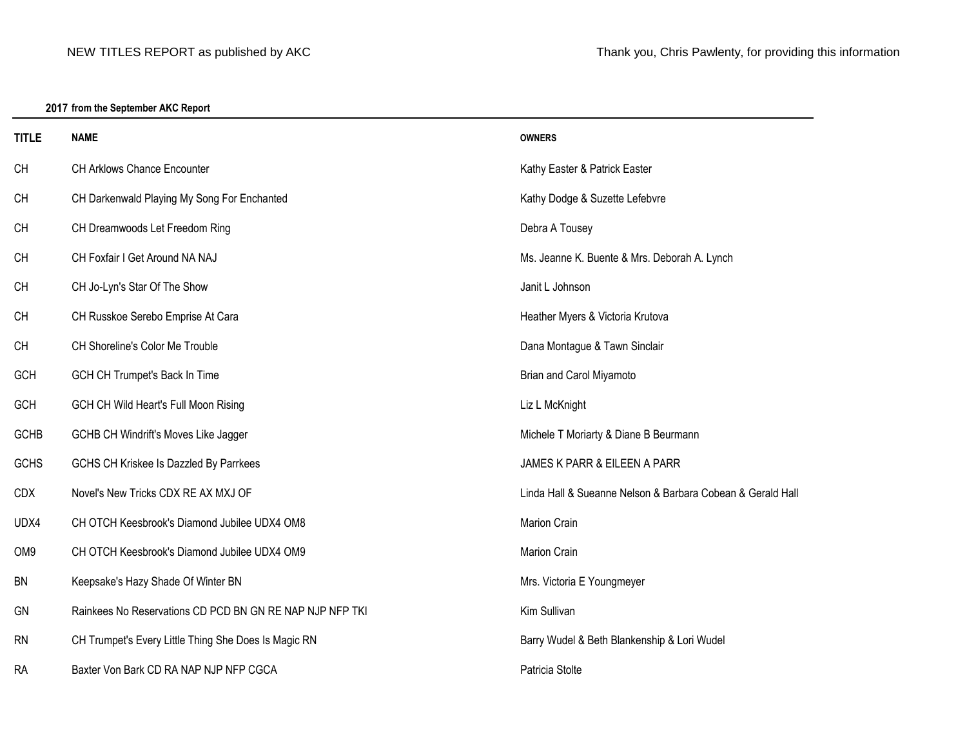## **2017 from the September AKC Report**

| <b>TITLE</b>    | <b>NAME</b>                                              | <b>OWNERS</b>                                              |
|-----------------|----------------------------------------------------------|------------------------------------------------------------|
| <b>CH</b>       | <b>CH Arklows Chance Encounter</b>                       | Kathy Easter & Patrick Easter                              |
| CH              | CH Darkenwald Playing My Song For Enchanted              | Kathy Dodge & Suzette Lefebvre                             |
| <b>CH</b>       | CH Dreamwoods Let Freedom Ring                           | Debra A Tousey                                             |
| <b>CH</b>       | CH Foxfair I Get Around NA NAJ                           | Ms. Jeanne K. Buente & Mrs. Deborah A. Lynch               |
| <b>CH</b>       | CH Jo-Lyn's Star Of The Show                             | Janit L Johnson                                            |
| <b>CH</b>       | CH Russkoe Serebo Emprise At Cara                        | Heather Myers & Victoria Krutova                           |
| <b>CH</b>       | CH Shoreline's Color Me Trouble                          | Dana Montague & Tawn Sinclair                              |
| GCH             | GCH CH Trumpet's Back In Time                            | Brian and Carol Miyamoto                                   |
| <b>GCH</b>      | GCH CH Wild Heart's Full Moon Rising                     | Liz L McKnight                                             |
| <b>GCHB</b>     | GCHB CH Windrift's Moves Like Jagger                     | Michele T Moriarty & Diane B Beurmann                      |
| <b>GCHS</b>     | GCHS CH Kriskee Is Dazzled By Parrkees                   | JAMES K PARR & EILEEN A PARR                               |
| <b>CDX</b>      | Novel's New Tricks CDX RE AX MXJ OF                      | Linda Hall & Sueanne Nelson & Barbara Cobean & Gerald Hall |
| UDX4            | CH OTCH Keesbrook's Diamond Jubilee UDX4 OM8             | Marion Crain                                               |
| OM <sub>9</sub> | CH OTCH Keesbrook's Diamond Jubilee UDX4 OM9             | Marion Crain                                               |
| BN              | Keepsake's Hazy Shade Of Winter BN                       | Mrs. Victoria E Youngmeyer                                 |
| GN              | Rainkees No Reservations CD PCD BN GN RE NAP NJP NFP TKI | Kim Sullivan                                               |
| <b>RN</b>       | CH Trumpet's Every Little Thing She Does Is Magic RN     | Barry Wudel & Beth Blankenship & Lori Wudel                |
| <b>RA</b>       | Baxter Von Bark CD RA NAP NJP NFP CGCA                   | Patricia Stolte                                            |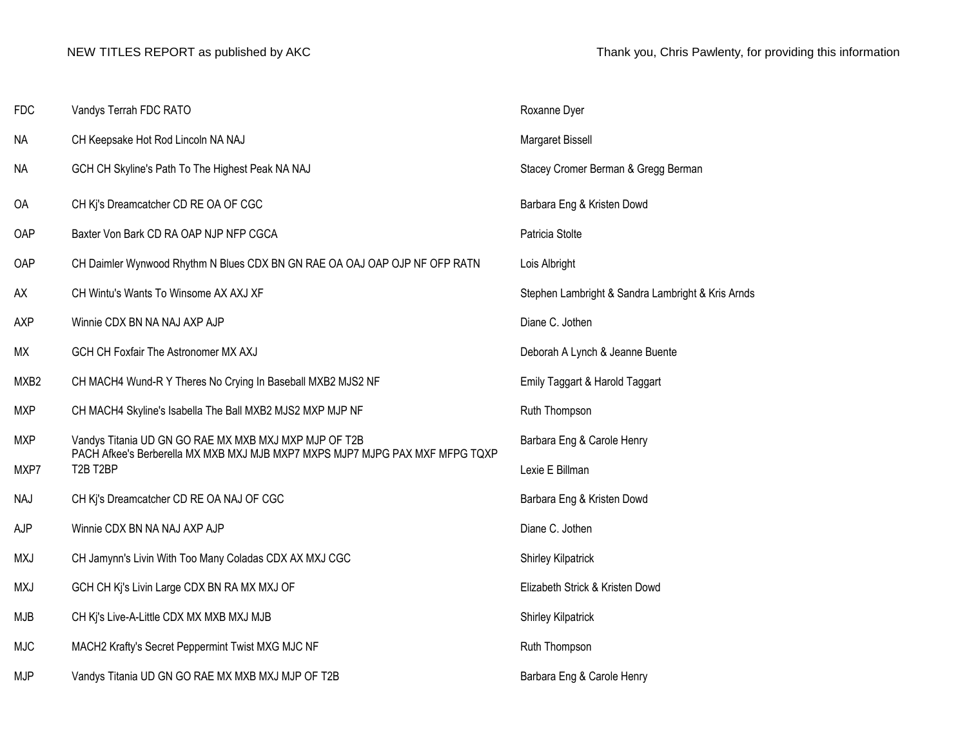| <b>FDC</b> | Vandys Terrah FDC RATO                                                                                                                | Roxanne Dyer                                      |
|------------|---------------------------------------------------------------------------------------------------------------------------------------|---------------------------------------------------|
| NA         | CH Keepsake Hot Rod Lincoln NA NAJ                                                                                                    | Margaret Bissell                                  |
| <b>NA</b>  | GCH CH Skyline's Path To The Highest Peak NA NAJ                                                                                      | Stacey Cromer Berman & Gregg Berman               |
| <b>OA</b>  | CH Ki's Dreamcatcher CD RE OA OF CGC                                                                                                  | Barbara Eng & Kristen Dowd                        |
| OAP        | Baxter Von Bark CD RA OAP NJP NFP CGCA                                                                                                | Patricia Stolte                                   |
| OAP        | CH Daimler Wynwood Rhythm N Blues CDX BN GN RAE OA OAJ OAP OJP NF OFP RATN                                                            | Lois Albright                                     |
| AX         | CH Wintu's Wants To Winsome AX AXJ XF                                                                                                 | Stephen Lambright & Sandra Lambright & Kris Arnds |
| AXP        | Winnie CDX BN NA NAJ AXP AJP                                                                                                          | Diane C. Jothen                                   |
| МX         | GCH CH Foxfair The Astronomer MX AXJ                                                                                                  | Deborah A Lynch & Jeanne Buente                   |
| MXB2       | CH MACH4 Wund-R Y Theres No Crying In Baseball MXB2 MJS2 NF                                                                           | Emily Taggart & Harold Taggart                    |
| <b>MXP</b> | CH MACH4 Skyline's Isabella The Ball MXB2 MJS2 MXP MJP NF                                                                             | Ruth Thompson                                     |
| <b>MXP</b> | Vandys Titania UD GN GO RAE MX MXB MXJ MXP MJP OF T2B<br>PACH Afkee's Berberella MX MXB MXJ MJB MXP7 MXPS MJP7 MJPG PAX MXF MFPG TQXP | Barbara Eng & Carole Henry                        |
| MXP7       | T2B T2BP                                                                                                                              | Lexie E Billman                                   |
| <b>NAJ</b> | CH Kj's Dreamcatcher CD RE OA NAJ OF CGC                                                                                              | Barbara Eng & Kristen Dowd                        |
| AJP        | Winnie CDX BN NA NAJ AXP AJP                                                                                                          | Diane C. Jothen                                   |
| <b>MXJ</b> | CH Jamynn's Livin With Too Many Coladas CDX AX MXJ CGC                                                                                | <b>Shirley Kilpatrick</b>                         |
| <b>MXJ</b> | GCH CH Kj's Livin Large CDX BN RA MX MXJ OF                                                                                           | Elizabeth Strick & Kristen Dowd                   |
| <b>MJB</b> | CH Ki's Live-A-Little CDX MX MXB MXJ MJB                                                                                              | <b>Shirley Kilpatrick</b>                         |
| <b>MJC</b> | MACH2 Krafty's Secret Peppermint Twist MXG MJC NF                                                                                     | Ruth Thompson                                     |
| MJP        | Vandys Titania UD GN GO RAE MX MXB MXJ MJP OF T2B                                                                                     | Barbara Eng & Carole Henry                        |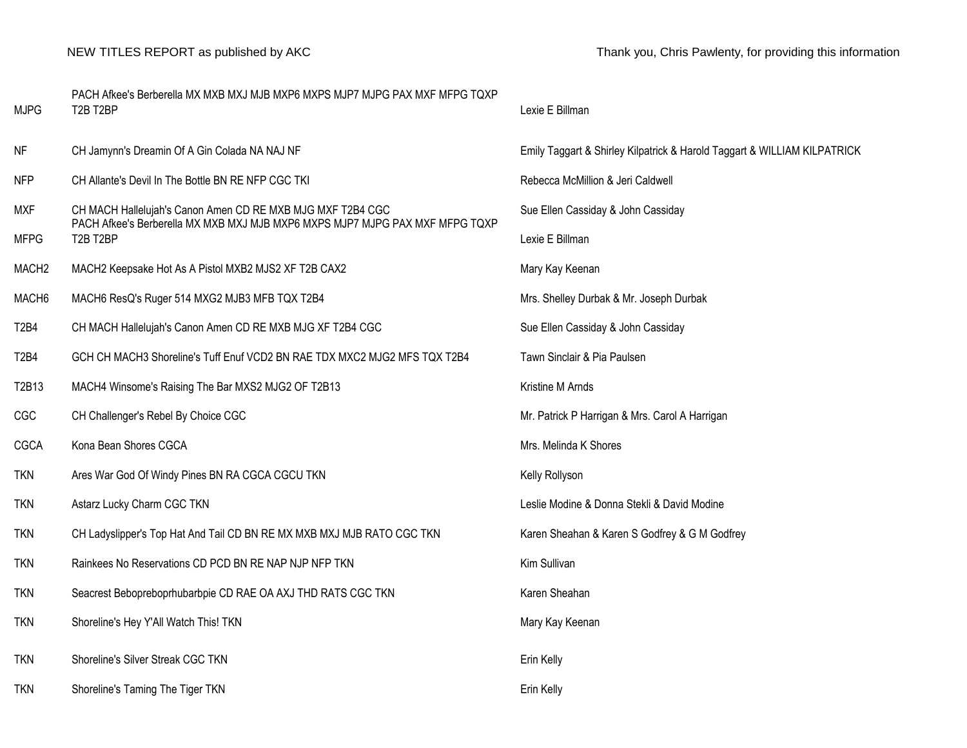| <b>MJPG</b>                   | PACH Afkee's Berberella MX MXB MXJ MJB MXP6 MXPS MJP7 MJPG PAX MXF MFPG TQXP<br>T2B T2BP                                                   | Lexie E Billman                                                          |
|-------------------------------|--------------------------------------------------------------------------------------------------------------------------------------------|--------------------------------------------------------------------------|
| NF                            | CH Jamynn's Dreamin Of A Gin Colada NA NAJ NF                                                                                              | Emily Taggart & Shirley Kilpatrick & Harold Taggart & WILLIAM KILPATRICK |
| <b>NFP</b>                    | CH Allante's Devil In The Bottle BN RE NFP CGC TKI                                                                                         | Rebecca McMillion & Jeri Caldwell                                        |
| <b>MXF</b>                    | CH MACH Hallelujah's Canon Amen CD RE MXB MJG MXF T2B4 CGC<br>PACH Afkee's Berberella MX MXB MXJ MJB MXP6 MXPS MJP7 MJPG PAX MXF MFPG TQXP | Sue Ellen Cassiday & John Cassiday                                       |
| <b>MFPG</b>                   | T2B T2BP                                                                                                                                   | Lexie E Billman                                                          |
| MACH <sub>2</sub>             | MACH2 Keepsake Hot As A Pistol MXB2 MJS2 XF T2B CAX2                                                                                       | Mary Kay Keenan                                                          |
| MACH <sub>6</sub>             | MACH6 ResQ's Ruger 514 MXG2 MJB3 MFB TQX T2B4                                                                                              | Mrs. Shelley Durbak & Mr. Joseph Durbak                                  |
| T <sub>2</sub> B <sub>4</sub> | CH MACH Hallelujah's Canon Amen CD RE MXB MJG XF T2B4 CGC                                                                                  | Sue Ellen Cassiday & John Cassiday                                       |
| T <sub>2</sub> B <sub>4</sub> | GCH CH MACH3 Shoreline's Tuff Enuf VCD2 BN RAE TDX MXC2 MJG2 MFS TQX T2B4                                                                  | Tawn Sinclair & Pia Paulsen                                              |
| T2B13                         | MACH4 Winsome's Raising The Bar MXS2 MJG2 OF T2B13                                                                                         | Kristine M Arnds                                                         |
| CGC                           | CH Challenger's Rebel By Choice CGC                                                                                                        | Mr. Patrick P Harrigan & Mrs. Carol A Harrigan                           |
| <b>CGCA</b>                   | Kona Bean Shores CGCA                                                                                                                      | Mrs. Melinda K Shores                                                    |
| <b>TKN</b>                    | Ares War God Of Windy Pines BN RA CGCA CGCU TKN                                                                                            | Kelly Rollyson                                                           |
| <b>TKN</b>                    | Astarz Lucky Charm CGC TKN                                                                                                                 | Leslie Modine & Donna Stekli & David Modine                              |
| <b>TKN</b>                    | CH Ladyslipper's Top Hat And Tail CD BN RE MX MXB MXJ MJB RATO CGC TKN                                                                     | Karen Sheahan & Karen S Godfrey & G M Godfrey                            |
| <b>TKN</b>                    | Rainkees No Reservations CD PCD BN RE NAP NJP NFP TKN                                                                                      | Kim Sullivan                                                             |
| <b>TKN</b>                    | Seacrest Bebopreboprhubarbpie CD RAE OA AXJ THD RATS CGC TKN                                                                               | Karen Sheahan                                                            |
| <b>TKN</b>                    | Shoreline's Hey Y'All Watch This! TKN                                                                                                      | Mary Kay Keenan                                                          |
| <b>TKN</b>                    | Shoreline's Silver Streak CGC TKN                                                                                                          | Erin Kelly                                                               |
| <b>TKN</b>                    | Shoreline's Taming The Tiger TKN                                                                                                           | Erin Kelly                                                               |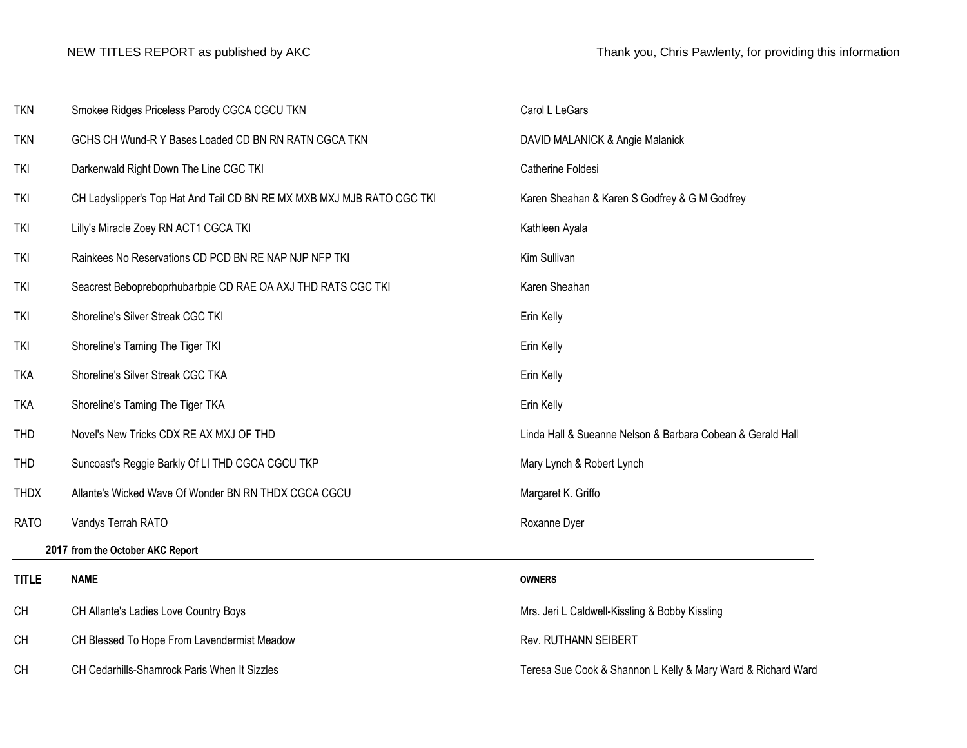| <b>TKN</b>   | Smokee Ridges Priceless Parody CGCA CGCU TKN                           | Carol L LeGars                                               |
|--------------|------------------------------------------------------------------------|--------------------------------------------------------------|
| <b>TKN</b>   | GCHS CH Wund-R Y Bases Loaded CD BN RN RATN CGCA TKN                   | DAVID MALANICK & Angie Malanick                              |
| <b>TKI</b>   | Darkenwald Right Down The Line CGC TKI                                 | Catherine Foldesi                                            |
| <b>TKI</b>   | CH Ladyslipper's Top Hat And Tail CD BN RE MX MXB MXJ MJB RATO CGC TKI | Karen Sheahan & Karen S Godfrey & G M Godfrey                |
| <b>TKI</b>   | Lilly's Miracle Zoey RN ACT1 CGCA TKI                                  | Kathleen Ayala                                               |
| <b>TKI</b>   | Rainkees No Reservations CD PCD BN RE NAP NJP NFP TKI                  | Kim Sullivan                                                 |
| <b>TKI</b>   | Seacrest Bebopreboprhubarbpie CD RAE OA AXJ THD RATS CGC TKI           | Karen Sheahan                                                |
| <b>TKI</b>   | Shoreline's Silver Streak CGC TKI                                      | Erin Kelly                                                   |
| <b>TKI</b>   | Shoreline's Taming The Tiger TKI                                       | Erin Kelly                                                   |
| <b>TKA</b>   | Shoreline's Silver Streak CGC TKA                                      | Erin Kelly                                                   |
| <b>TKA</b>   | Shoreline's Taming The Tiger TKA                                       | Erin Kelly                                                   |
| <b>THD</b>   | Novel's New Tricks CDX RE AX MXJ OF THD                                | Linda Hall & Sueanne Nelson & Barbara Cobean & Gerald Hall   |
| <b>THD</b>   | Suncoast's Reggie Barkly Of LI THD CGCA CGCU TKP                       | Mary Lynch & Robert Lynch                                    |
| <b>THDX</b>  | Allante's Wicked Wave Of Wonder BN RN THDX CGCA CGCU                   | Margaret K. Griffo                                           |
| <b>RATO</b>  | Vandys Terrah RATO                                                     | Roxanne Dyer                                                 |
|              | 2017 from the October AKC Report                                       |                                                              |
| <b>TITLE</b> | <b>NAME</b>                                                            | <b>OWNERS</b>                                                |
| <b>CH</b>    | CH Allante's Ladies Love Country Boys                                  | Mrs. Jeri L Caldwell-Kissling & Bobby Kissling               |
| <b>CH</b>    | CH Blessed To Hope From Lavendermist Meadow                            | Rev. RUTHANN SEIBERT                                         |
| <b>CH</b>    | CH Cedarhills-Shamrock Paris When It Sizzles                           | Teresa Sue Cook & Shannon L Kelly & Mary Ward & Richard Ward |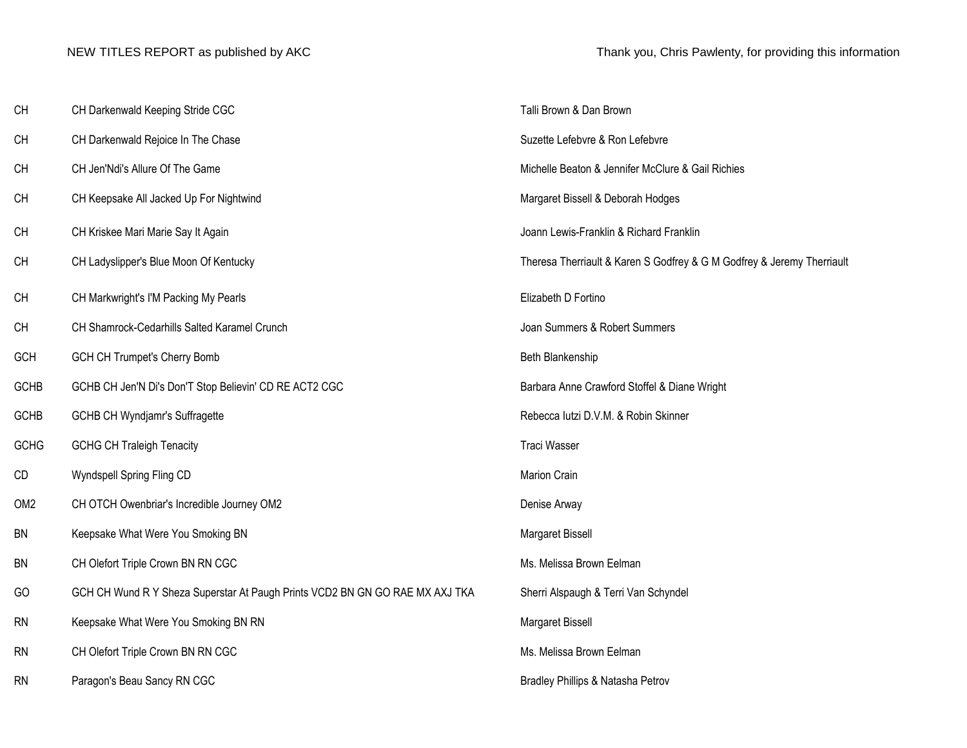| CH              | CH Darkenwald Keeping Stride CGC                                             | Talli Brown & Dan Brown                                                |
|-----------------|------------------------------------------------------------------------------|------------------------------------------------------------------------|
| CH              | CH Darkenwald Rejoice In The Chase                                           | Suzette Lefebvre & Ron Lefebvre                                        |
| <b>CH</b>       | CH Jen'Ndi's Allure Of The Game                                              | Michelle Beaton & Jennifer McClure & Gail Richies                      |
| <b>CH</b>       | CH Keepsake All Jacked Up For Nightwind                                      | Margaret Bissell & Deborah Hodges                                      |
| CH              | CH Kriskee Mari Marie Say It Again                                           | Joann Lewis-Franklin & Richard Franklin                                |
| <b>CH</b>       | CH Ladyslipper's Blue Moon Of Kentucky                                       | Theresa Therriault & Karen S Godfrey & G M Godfrey & Jeremy Therriault |
| <b>CH</b>       | CH Markwright's I'M Packing My Pearls                                        | Elizabeth D Fortino                                                    |
| CH              | CH Shamrock-Cedarhills Salted Karamel Crunch                                 | Joan Summers & Robert Summers                                          |
| <b>GCH</b>      | GCH CH Trumpet's Cherry Bomb                                                 | Beth Blankenship                                                       |
| GCHB            | GCHB CH Jen'N Di's Don'T Stop Believin' CD RE ACT2 CGC                       | Barbara Anne Crawford Stoffel & Diane Wright                           |
| <b>GCHB</b>     | <b>GCHB CH Wyndjamr's Suffragette</b>                                        | Rebecca lutzi D.V.M. & Robin Skinner                                   |
| <b>GCHG</b>     | <b>GCHG CH Traleigh Tenacity</b>                                             | <b>Traci Wasser</b>                                                    |
| CD              | Wyndspell Spring Fling CD                                                    | Marion Crain                                                           |
| OM <sub>2</sub> | CH OTCH Owenbriar's Incredible Journey OM2                                   | Denise Arway                                                           |
| <b>BN</b>       | Keepsake What Were You Smoking BN                                            | Margaret Bissell                                                       |
| <b>BN</b>       | CH Olefort Triple Crown BN RN CGC                                            | Ms. Melissa Brown Eelman                                               |
| GO              | GCH CH Wund R Y Sheza Superstar At Paugh Prints VCD2 BN GN GO RAE MX AXJ TKA | Sherri Alspaugh & Terri Van Schyndel                                   |
| <b>RN</b>       | Keepsake What Were You Smoking BN RN                                         | Margaret Bissell                                                       |
| <b>RN</b>       | CH Olefort Triple Crown BN RN CGC                                            | Ms. Melissa Brown Eelman                                               |
| <b>RN</b>       | Paragon's Beau Sancy RN CGC                                                  | Bradley Phillips & Natasha Petrov                                      |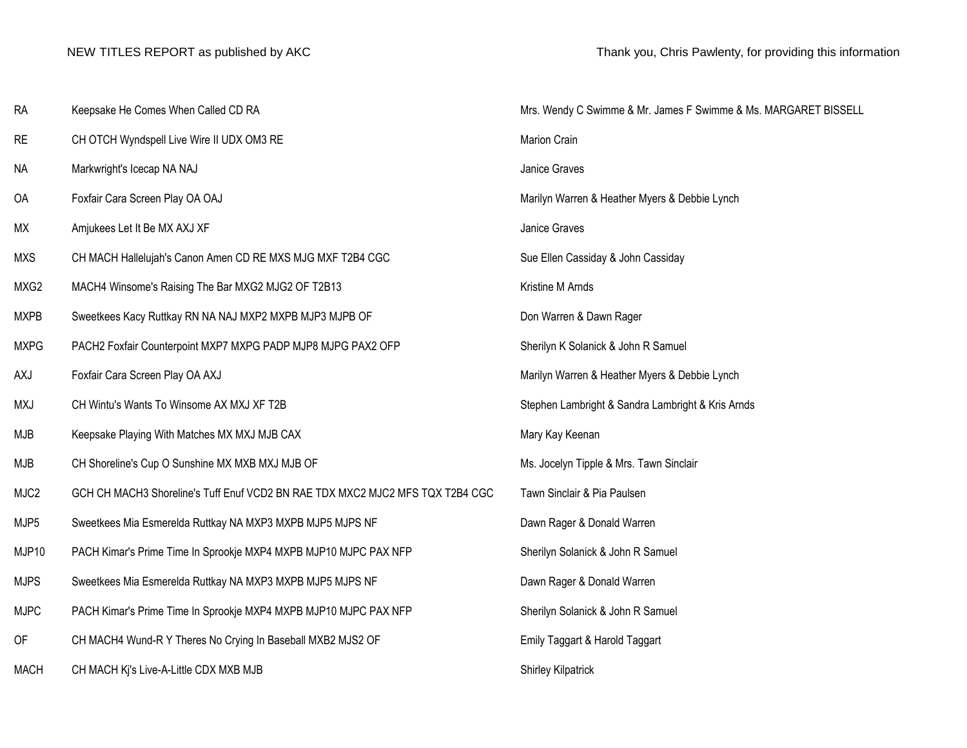| <b>RA</b>   | Keepsake He Comes When Called CD RA                                           | Mrs. Wendy C Swimme & Mr. James F Swimme & Ms. MARGARET BISSELL |
|-------------|-------------------------------------------------------------------------------|-----------------------------------------------------------------|
| <b>RE</b>   | CH OTCH Wyndspell Live Wire II UDX OM3 RE                                     | Marion Crain                                                    |
| <b>NA</b>   | Markwright's Icecap NA NAJ                                                    | Janice Graves                                                   |
| OA          | Foxfair Cara Screen Play OA OAJ                                               | Marilyn Warren & Heather Myers & Debbie Lynch                   |
| МX          | Amjukees Let It Be MX AXJ XF                                                  | Janice Graves                                                   |
| MXS         | CH MACH Hallelujah's Canon Amen CD RE MXS MJG MXF T2B4 CGC                    | Sue Ellen Cassiday & John Cassiday                              |
| MXG2        | MACH4 Winsome's Raising The Bar MXG2 MJG2 OF T2B13                            | Kristine M Arnds                                                |
| <b>MXPB</b> | Sweetkees Kacy Ruttkay RN NA NAJ MXP2 MXPB MJP3 MJPB OF                       | Don Warren & Dawn Rager                                         |
| <b>MXPG</b> | PACH2 Foxfair Counterpoint MXP7 MXPG PADP MJP8 MJPG PAX2 OFP                  | Sherilyn K Solanick & John R Samuel                             |
| AXJ         | Foxfair Cara Screen Play OA AXJ                                               | Marilyn Warren & Heather Myers & Debbie Lynch                   |
| MXJ         | CH Wintu's Wants To Winsome AX MXJ XF T2B                                     | Stephen Lambright & Sandra Lambright & Kris Arnds               |
| <b>MJB</b>  | Keepsake Playing With Matches MX MXJ MJB CAX                                  | Mary Kay Keenan                                                 |
| <b>MJB</b>  | CH Shoreline's Cup O Sunshine MX MXB MXJ MJB OF                               | Ms. Jocelyn Tipple & Mrs. Tawn Sinclair                         |
| MJC2        | GCH CH MACH3 Shoreline's Tuff Enuf VCD2 BN RAE TDX MXC2 MJC2 MFS TQX T2B4 CGC | Tawn Sinclair & Pia Paulsen                                     |
| MJP5        | Sweetkees Mia Esmerelda Ruttkay NA MXP3 MXPB MJP5 MJPS NF                     | Dawn Rager & Donald Warren                                      |
| MJP10       | PACH Kimar's Prime Time In Sprookje MXP4 MXPB MJP10 MJPC PAX NFP              | Sherilyn Solanick & John R Samuel                               |
| <b>MJPS</b> | Sweetkees Mia Esmerelda Ruttkay NA MXP3 MXPB MJP5 MJPS NF                     | Dawn Rager & Donald Warren                                      |
| <b>MJPC</b> | PACH Kimar's Prime Time In Sprookje MXP4 MXPB MJP10 MJPC PAX NFP              | Sherilyn Solanick & John R Samuel                               |
| OF          | CH MACH4 Wund-R Y Theres No Crying In Baseball MXB2 MJS2 OF                   | Emily Taggart & Harold Taggart                                  |
| <b>MACH</b> | CH MACH Ki's Live-A-Little CDX MXB MJB                                        | <b>Shirley Kilpatrick</b>                                       |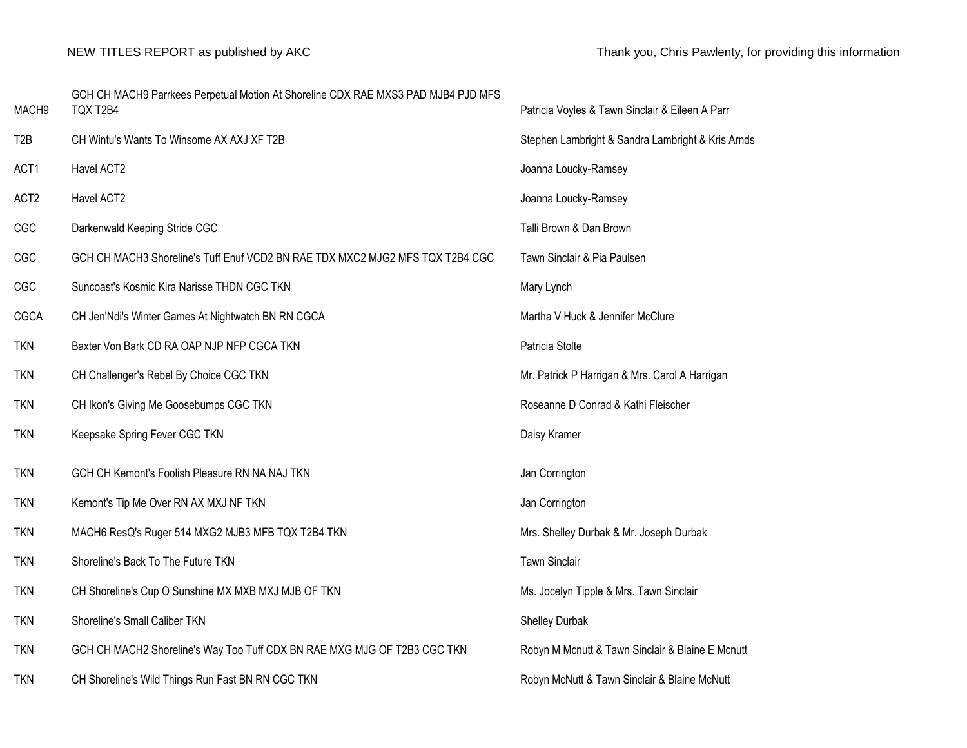| MACH9            | GCH CH MACH9 Parrkees Perpetual Motion At Shoreline CDX RAE MXS3 PAD MJB4 PJD MFS<br>TQX T2B4 | Patricia Voyles & Tawn Sinclair & Eileen A Parr   |
|------------------|-----------------------------------------------------------------------------------------------|---------------------------------------------------|
| T <sub>2</sub> B | CH Wintu's Wants To Winsome AX AXJ XF T2B                                                     | Stephen Lambright & Sandra Lambright & Kris Arnds |
| ACT1             | Havel ACT2                                                                                    | Joanna Loucky-Ramsey                              |
| ACT <sub>2</sub> | Havel ACT2                                                                                    | Joanna Loucky-Ramsey                              |
| CGC              | Darkenwald Keeping Stride CGC                                                                 | Talli Brown & Dan Brown                           |
| CGC              | GCH CH MACH3 Shoreline's Tuff Enuf VCD2 BN RAE TDX MXC2 MJG2 MFS TQX T2B4 CGC                 | Tawn Sinclair & Pia Paulsen                       |
| CGC              | Suncoast's Kosmic Kira Narisse THDN CGC TKN                                                   | Mary Lynch                                        |
| <b>CGCA</b>      | CH Jen'Ndi's Winter Games At Nightwatch BN RN CGCA                                            | Martha V Huck & Jennifer McClure                  |
| <b>TKN</b>       | Baxter Von Bark CD RA OAP NJP NFP CGCA TKN                                                    | Patricia Stolte                                   |
| <b>TKN</b>       | CH Challenger's Rebel By Choice CGC TKN                                                       | Mr. Patrick P Harrigan & Mrs. Carol A Harrigan    |
| <b>TKN</b>       | CH Ikon's Giving Me Goosebumps CGC TKN                                                        | Roseanne D Conrad & Kathi Fleischer               |
| <b>TKN</b>       | Keepsake Spring Fever CGC TKN                                                                 | Daisy Kramer                                      |
| <b>TKN</b>       | GCH CH Kemont's Foolish Pleasure RN NA NAJ TKN                                                | Jan Corrington                                    |
| <b>TKN</b>       | Kemont's Tip Me Over RN AX MXJ NF TKN                                                         | Jan Corrington                                    |
| <b>TKN</b>       | MACH6 ResQ's Ruger 514 MXG2 MJB3 MFB TQX T2B4 TKN                                             | Mrs. Shelley Durbak & Mr. Joseph Durbak           |
| <b>TKN</b>       | Shoreline's Back To The Future TKN                                                            | <b>Tawn Sinclair</b>                              |
| <b>TKN</b>       | CH Shoreline's Cup O Sunshine MX MXB MXJ MJB OF TKN                                           | Ms. Jocelyn Tipple & Mrs. Tawn Sinclair           |
| <b>TKN</b>       | Shoreline's Small Caliber TKN                                                                 | Shelley Durbak                                    |
| <b>TKN</b>       | GCH CH MACH2 Shoreline's Way Too Tuff CDX BN RAE MXG MJG OF T2B3 CGC TKN                      | Robyn M Mcnutt & Tawn Sinclair & Blaine E Mcnutt  |
| <b>TKN</b>       | CH Shoreline's Wild Things Run Fast BN RN CGC TKN                                             | Robyn McNutt & Tawn Sinclair & Blaine McNutt      |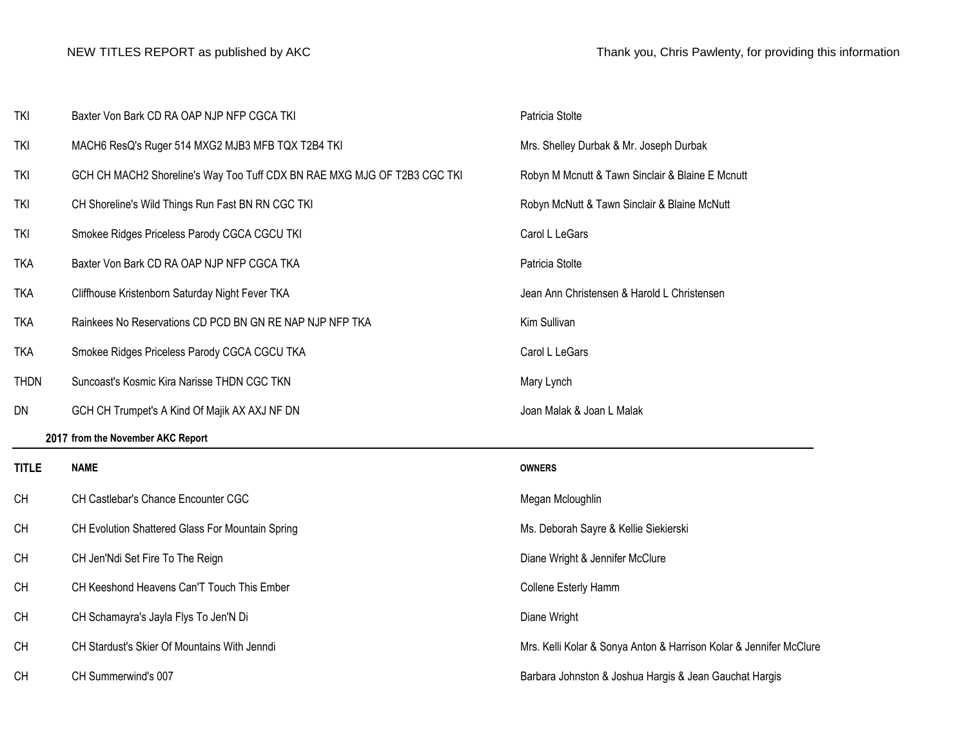| <b>TKI</b>   | Baxter Von Bark CD RA OAP NJP NFP CGCA TKI                               | Patricia Stolte                                                    |
|--------------|--------------------------------------------------------------------------|--------------------------------------------------------------------|
| <b>TKI</b>   | MACH6 ResQ's Ruger 514 MXG2 MJB3 MFB TQX T2B4 TKI                        | Mrs. Shelley Durbak & Mr. Joseph Durbak                            |
| <b>TKI</b>   | GCH CH MACH2 Shoreline's Way Too Tuff CDX BN RAE MXG MJG OF T2B3 CGC TKI | Robyn M Mcnutt & Tawn Sinclair & Blaine E Mcnutt                   |
| <b>TKI</b>   | CH Shoreline's Wild Things Run Fast BN RN CGC TKI                        | Robyn McNutt & Tawn Sinclair & Blaine McNutt                       |
| <b>TKI</b>   | Smokee Ridges Priceless Parody CGCA CGCU TKI                             | Carol L LeGars                                                     |
| <b>TKA</b>   | Baxter Von Bark CD RA OAP NJP NFP CGCA TKA                               | Patricia Stolte                                                    |
| <b>TKA</b>   | Cliffhouse Kristenborn Saturday Night Fever TKA                          | Jean Ann Christensen & Harold L Christensen                        |
| <b>TKA</b>   | Rainkees No Reservations CD PCD BN GN RE NAP NJP NFP TKA                 | Kim Sullivan                                                       |
| <b>TKA</b>   | Smokee Ridges Priceless Parody CGCA CGCU TKA                             | Carol L LeGars                                                     |
| <b>THDN</b>  | Suncoast's Kosmic Kira Narisse THDN CGC TKN                              | Mary Lynch                                                         |
| DN           | GCH CH Trumpet's A Kind Of Majik AX AXJ NF DN                            | Joan Malak & Joan L Malak                                          |
|              | 2017 from the November AKC Report                                        |                                                                    |
| <b>TITLE</b> | <b>NAME</b>                                                              | <b>OWNERS</b>                                                      |
| <b>CH</b>    | CH Castlebar's Chance Encounter CGC                                      | Megan Mcloughlin                                                   |
| <b>CH</b>    | CH Evolution Shattered Glass For Mountain Spring                         | Ms. Deborah Sayre & Kellie Siekierski                              |
| <b>CH</b>    | CH Jen'Ndi Set Fire To The Reign                                         | Diane Wright & Jennifer McClure                                    |
| <b>CH</b>    | CH Keeshond Heavens Can'T Touch This Ember                               | Collene Esterly Hamm                                               |
| <b>CH</b>    | CH Schamayra's Jayla Flys To Jen'N Di                                    | Diane Wright                                                       |
| <b>CH</b>    | CH Stardust's Skier Of Mountains With Jenndi                             | Mrs. Kelli Kolar & Sonya Anton & Harrison Kolar & Jennifer McClure |
| <b>CH</b>    | CH Summerwind's 007                                                      | Barbara Johnston & Joshua Hargis & Jean Gauchat Hargis             |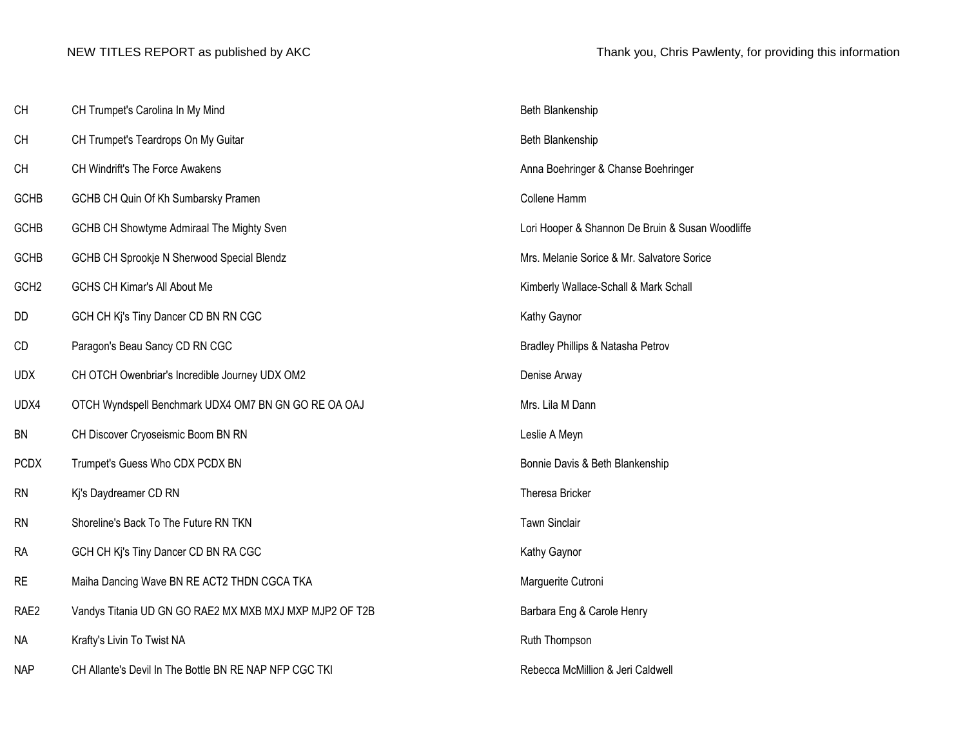| CH               | CH Trumpet's Carolina In My Mind                        | Beth Blankenship                                 |
|------------------|---------------------------------------------------------|--------------------------------------------------|
| <b>CH</b>        | CH Trumpet's Teardrops On My Guitar                     | Beth Blankenship                                 |
| <b>CH</b>        | CH Windrift's The Force Awakens                         | Anna Boehringer & Chanse Boehringer              |
| <b>GCHB</b>      | GCHB CH Quin Of Kh Sumbarsky Pramen                     | Collene Hamm                                     |
| GCHB             | GCHB CH Showtyme Admiraal The Mighty Sven               | Lori Hooper & Shannon De Bruin & Susan Woodliffe |
| <b>GCHB</b>      | GCHB CH Sprookje N Sherwood Special Blendz              | Mrs. Melanie Sorice & Mr. Salvatore Sorice       |
| GCH <sub>2</sub> | GCHS CH Kimar's All About Me                            | Kimberly Wallace-Schall & Mark Schall            |
| DD               | GCH CH Kj's Tiny Dancer CD BN RN CGC                    | Kathy Gaynor                                     |
| CD               | Paragon's Beau Sancy CD RN CGC                          | Bradley Phillips & Natasha Petrov                |
| <b>UDX</b>       | CH OTCH Owenbriar's Incredible Journey UDX OM2          | Denise Arway                                     |
| UDX4             | OTCH Wyndspell Benchmark UDX4 OM7 BN GN GO RE OA OAJ    | Mrs. Lila M Dann                                 |
| <b>BN</b>        | CH Discover Cryoseismic Boom BN RN                      | Leslie A Meyn                                    |
| <b>PCDX</b>      | Trumpet's Guess Who CDX PCDX BN                         | Bonnie Davis & Beth Blankenship                  |
| <b>RN</b>        | Ki's Daydreamer CD RN                                   | Theresa Bricker                                  |
| <b>RN</b>        | Shoreline's Back To The Future RN TKN                   | <b>Tawn Sinclair</b>                             |
| <b>RA</b>        | GCH CH Kj's Tiny Dancer CD BN RA CGC                    | Kathy Gaynor                                     |
| <b>RE</b>        | Maiha Dancing Wave BN RE ACT2 THDN CGCA TKA             | Marguerite Cutroni                               |
| RAE <sub>2</sub> | Vandys Titania UD GN GO RAE2 MX MXB MXJ MXP MJP2 OF T2B | Barbara Eng & Carole Henry                       |
| <b>NA</b>        | Krafty's Livin To Twist NA                              | Ruth Thompson                                    |
| <b>NAP</b>       | CH Allante's Devil In The Bottle BN RE NAP NFP CGC TKI  | Rebecca McMillion & Jeri Caldwell                |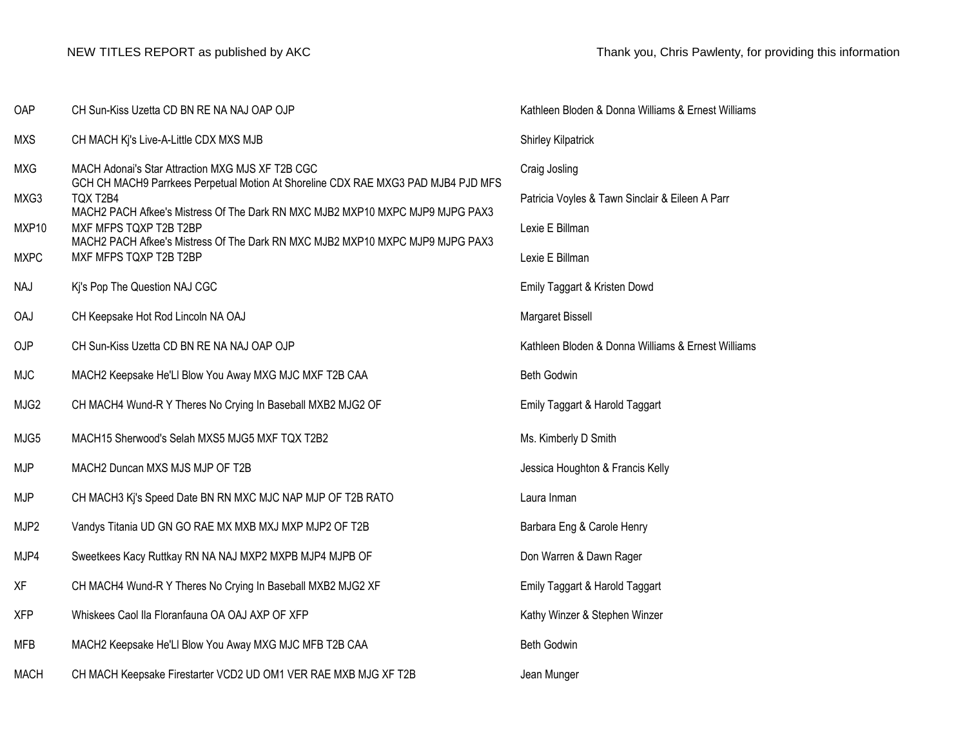| OAP         | CH Sun-Kiss Uzetta CD BN RE NA NAJ OAP OJP                                                                                            | Kathleen Bloden & Donna Williams & Ernest Williams |
|-------------|---------------------------------------------------------------------------------------------------------------------------------------|----------------------------------------------------|
| <b>MXS</b>  | CH MACH Ki's Live-A-Little CDX MXS MJB                                                                                                | <b>Shirley Kilpatrick</b>                          |
| <b>MXG</b>  | MACH Adonai's Star Attraction MXG MJS XF T2B CGC<br>GCH CH MACH9 Parrkees Perpetual Motion At Shoreline CDX RAE MXG3 PAD MJB4 PJD MFS | Craig Josling                                      |
| MXG3        | TQX T2B4<br>MACH2 PACH Afkee's Mistress Of The Dark RN MXC MJB2 MXP10 MXPC MJP9 MJPG PAX3                                             | Patricia Voyles & Tawn Sinclair & Eileen A Parr    |
| MXP10       | MXF MFPS TQXP T2B T2BP<br>MACH2 PACH Afkee's Mistress Of The Dark RN MXC MJB2 MXP10 MXPC MJP9 MJPG PAX3                               | Lexie E Billman                                    |
| <b>MXPC</b> | MXF MFPS TQXP T2B T2BP                                                                                                                | Lexie E Billman                                    |
| <b>NAJ</b>  | Kj's Pop The Question NAJ CGC                                                                                                         | Emily Taggart & Kristen Dowd                       |
| <b>OAJ</b>  | CH Keepsake Hot Rod Lincoln NA OAJ                                                                                                    | Margaret Bissell                                   |
| OJP         | CH Sun-Kiss Uzetta CD BN RE NA NAJ OAP OJP                                                                                            | Kathleen Bloden & Donna Williams & Ernest Williams |
| <b>MJC</b>  | MACH2 Keepsake He'LI Blow You Away MXG MJC MXF T2B CAA                                                                                | Beth Godwin                                        |
| MJG2        | CH MACH4 Wund-R Y Theres No Crying In Baseball MXB2 MJG2 OF                                                                           | Emily Taggart & Harold Taggart                     |
| MJG5        | MACH15 Sherwood's Selah MXS5 MJG5 MXF TQX T2B2                                                                                        | Ms. Kimberly D Smith                               |
| <b>MJP</b>  | MACH2 Duncan MXS MJS MJP OF T2B                                                                                                       | Jessica Houghton & Francis Kelly                   |
| <b>MJP</b>  | CH MACH3 Kj's Speed Date BN RN MXC MJC NAP MJP OF T2B RATO                                                                            | Laura Inman                                        |
| MJP2        | Vandys Titania UD GN GO RAE MX MXB MXJ MXP MJP2 OF T2B                                                                                | Barbara Eng & Carole Henry                         |
| MJP4        | Sweetkees Kacy Ruttkay RN NA NAJ MXP2 MXPB MJP4 MJPB OF                                                                               | Don Warren & Dawn Rager                            |
| XF          | CH MACH4 Wund-R Y Theres No Crying In Baseball MXB2 MJG2 XF                                                                           | Emily Taggart & Harold Taggart                     |
| <b>XFP</b>  | Whiskees Caol IIa Floranfauna OA OAJ AXP OF XFP                                                                                       | Kathy Winzer & Stephen Winzer                      |
| <b>MFB</b>  | MACH2 Keepsake He'LI Blow You Away MXG MJC MFB T2B CAA                                                                                | Beth Godwin                                        |
| <b>MACH</b> | CH MACH Keepsake Firestarter VCD2 UD OM1 VER RAE MXB MJG XF T2B                                                                       | Jean Munger                                        |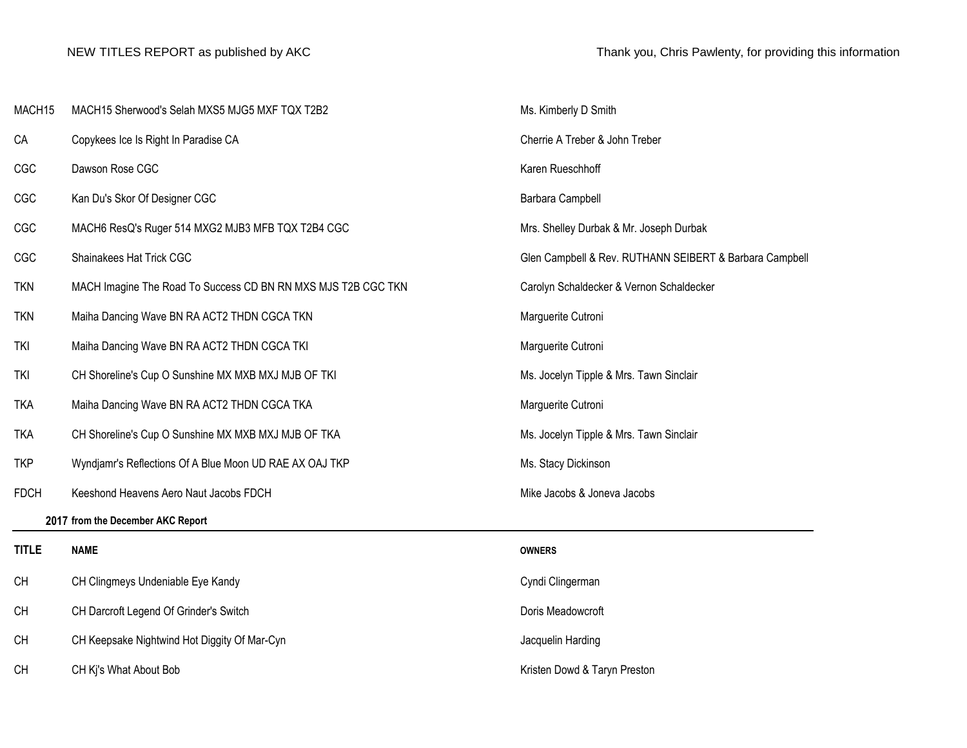| MACH15       | MACH15 Sherwood's Selah MXS5 MJG5 MXF TQX T2B2                | Ms. Kimberly D Smith                                    |
|--------------|---------------------------------------------------------------|---------------------------------------------------------|
| CA           | Copykees Ice Is Right In Paradise CA                          | Cherrie A Treber & John Treber                          |
| CGC          | Dawson Rose CGC                                               | Karen Rueschhoff                                        |
| CGC          | Kan Du's Skor Of Designer CGC                                 | Barbara Campbell                                        |
| CGC          | MACH6 ResQ's Ruger 514 MXG2 MJB3 MFB TQX T2B4 CGC             | Mrs. Shelley Durbak & Mr. Joseph Durbak                 |
| CGC          | Shainakees Hat Trick CGC                                      | Glen Campbell & Rev. RUTHANN SEIBERT & Barbara Campbell |
| <b>TKN</b>   | MACH Imagine The Road To Success CD BN RN MXS MJS T2B CGC TKN | Carolyn Schaldecker & Vernon Schaldecker                |
| <b>TKN</b>   | Maiha Dancing Wave BN RA ACT2 THDN CGCA TKN                   | Marguerite Cutroni                                      |
| tki          | Maiha Dancing Wave BN RA ACT2 THDN CGCA TKI                   | Marguerite Cutroni                                      |
| <b>TKI</b>   | CH Shoreline's Cup O Sunshine MX MXB MXJ MJB OF TKI           | Ms. Jocelyn Tipple & Mrs. Tawn Sinclair                 |
| <b>TKA</b>   | Maiha Dancing Wave BN RA ACT2 THDN CGCA TKA                   | Marguerite Cutroni                                      |
| <b>TKA</b>   | CH Shoreline's Cup O Sunshine MX MXB MXJ MJB OF TKA           | Ms. Jocelyn Tipple & Mrs. Tawn Sinclair                 |
| <b>TKP</b>   | Wyndjamr's Reflections Of A Blue Moon UD RAE AX OAJ TKP       | Ms. Stacy Dickinson                                     |
| <b>FDCH</b>  | Keeshond Heavens Aero Naut Jacobs FDCH                        | Mike Jacobs & Joneva Jacobs                             |
|              | 2017 from the December AKC Report                             |                                                         |
| <b>TITLE</b> | <b>NAME</b>                                                   | <b>OWNERS</b>                                           |
| <b>CH</b>    | CH Clingmeys Undeniable Eye Kandy                             | Cyndi Clingerman                                        |
| <b>CH</b>    | CH Darcroft Legend Of Grinder's Switch                        | Doris Meadowcroft                                       |
| <b>CH</b>    | CH Keepsake Nightwind Hot Diggity Of Mar-Cyn                  | Jacquelin Harding                                       |
| <b>CH</b>    | CH Ki's What About Bob                                        | Kristen Dowd & Taryn Preston                            |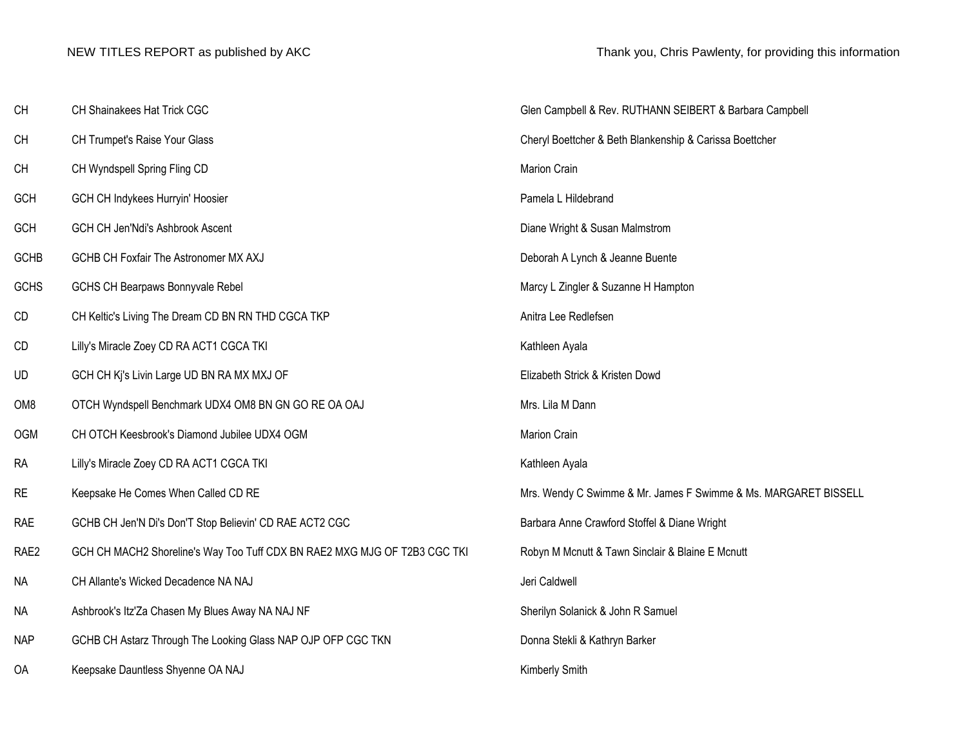| CH               | CH Shainakees Hat Trick CGC                                               | Glen Campbell & Rev. RUTHANN SEIBERT & Barbara Campbell         |
|------------------|---------------------------------------------------------------------------|-----------------------------------------------------------------|
| <b>CH</b>        | CH Trumpet's Raise Your Glass                                             | Cheryl Boettcher & Beth Blankenship & Carissa Boettcher         |
| CH               | CH Wyndspell Spring Fling CD                                              | Marion Crain                                                    |
| GCH              | GCH CH Indykees Hurryin' Hoosier                                          | Pamela L Hildebrand                                             |
| GCH              | GCH CH Jen'Ndi's Ashbrook Ascent                                          | Diane Wright & Susan Malmstrom                                  |
| GCHB             | <b>GCHB CH Foxfair The Astronomer MX AXJ</b>                              | Deborah A Lynch & Jeanne Buente                                 |
| <b>GCHS</b>      | <b>GCHS CH Bearpaws Bonnyvale Rebel</b>                                   | Marcy L Zingler & Suzanne H Hampton                             |
| $\mathsf{CD}$    | CH Keltic's Living The Dream CD BN RN THD CGCA TKP                        | Anitra Lee Redlefsen                                            |
| CD               | Lilly's Miracle Zoey CD RA ACT1 CGCA TKI                                  | Kathleen Ayala                                                  |
| UD               | GCH CH Ki's Livin Large UD BN RA MX MXJ OF                                | Elizabeth Strick & Kristen Dowd                                 |
| OM8              | OTCH Wyndspell Benchmark UDX4 OM8 BN GN GO RE OA OAJ                      | Mrs. Lila M Dann                                                |
| <b>OGM</b>       | CH OTCH Keesbrook's Diamond Jubilee UDX4 OGM                              | Marion Crain                                                    |
| <b>RA</b>        | Lilly's Miracle Zoey CD RA ACT1 CGCA TKI                                  | Kathleen Ayala                                                  |
| <b>RE</b>        | Keepsake He Comes When Called CD RE                                       | Mrs. Wendy C Swimme & Mr. James F Swimme & Ms. MARGARET BISSELL |
| <b>RAE</b>       | GCHB CH Jen'N Di's Don'T Stop Believin' CD RAE ACT2 CGC                   | Barbara Anne Crawford Stoffel & Diane Wright                    |
| RAE <sub>2</sub> | GCH CH MACH2 Shoreline's Way Too Tuff CDX BN RAE2 MXG MJG OF T2B3 CGC TKI | Robyn M Mcnutt & Tawn Sinclair & Blaine E Mcnutt                |
| <b>NA</b>        | CH Allante's Wicked Decadence NA NAJ                                      | Jeri Caldwell                                                   |
| <b>NA</b>        | Ashbrook's Itz'Za Chasen My Blues Away NA NAJ NF                          | Sherilyn Solanick & John R Samuel                               |
| <b>NAP</b>       | GCHB CH Astarz Through The Looking Glass NAP OJP OFP CGC TKN              | Donna Stekli & Kathryn Barker                                   |
| 0A               | Keepsake Dauntless Shyenne OA NAJ                                         | Kimberly Smith                                                  |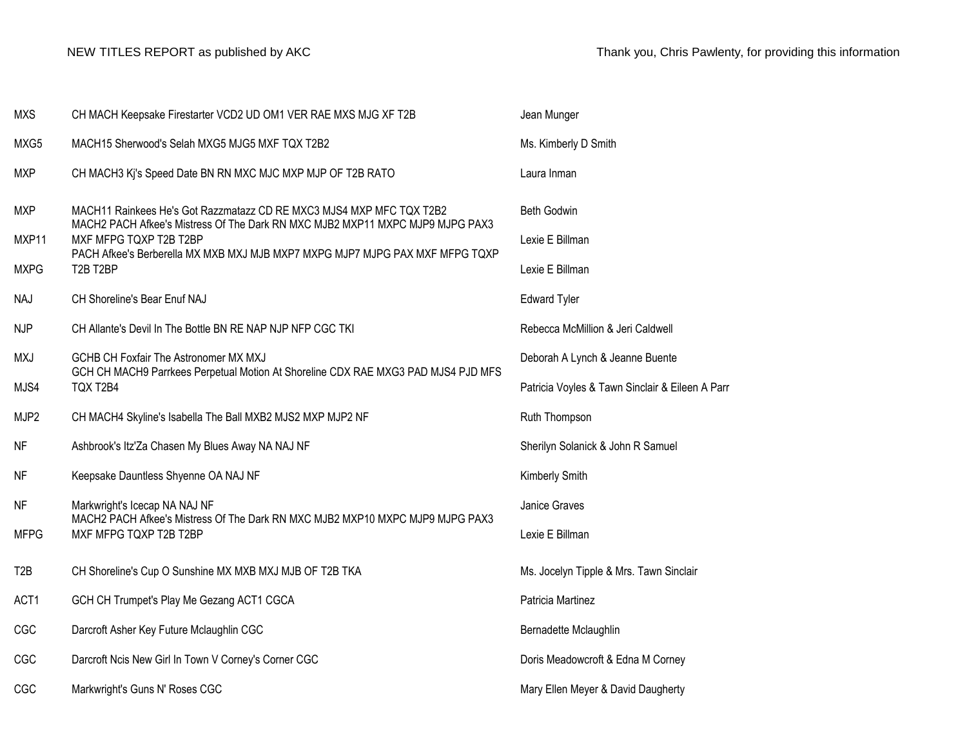| <b>MXS</b>       | CH MACH Keepsake Firestarter VCD2 UD OM1 VER RAE MXS MJG XF T2B                                                                                       | Jean Munger                                     |
|------------------|-------------------------------------------------------------------------------------------------------------------------------------------------------|-------------------------------------------------|
| MXG5             | MACH15 Sherwood's Selah MXG5 MJG5 MXF TQX T2B2                                                                                                        | Ms. Kimberly D Smith                            |
| <b>MXP</b>       | CH MACH3 Kj's Speed Date BN RN MXC MJC MXP MJP OF T2B RATO                                                                                            | Laura Inman                                     |
| <b>MXP</b>       | MACH11 Rainkees He's Got Razzmatazz CD RE MXC3 MJS4 MXP MFC TQX T2B2<br>MACH2 PACH Afkee's Mistress Of The Dark RN MXC MJB2 MXP11 MXPC MJP9 MJPG PAX3 | <b>Beth Godwin</b>                              |
| MXP11            | MXF MFPG TQXP T2B T2BP<br>PACH Afkee's Berberella MX MXB MXJ MJB MXP7 MXPG MJP7 MJPG PAX MXF MFPG TQXP                                                | Lexie E Billman                                 |
| <b>MXPG</b>      | T2B T2BP                                                                                                                                              | Lexie E Billman                                 |
| <b>NAJ</b>       | CH Shoreline's Bear Enuf NAJ                                                                                                                          | <b>Edward Tyler</b>                             |
| <b>NJP</b>       | CH Allante's Devil In The Bottle BN RE NAP NJP NFP CGC TKI                                                                                            | Rebecca McMillion & Jeri Caldwell               |
| <b>MXJ</b>       | <b>GCHB CH Foxfair The Astronomer MX MXJ</b><br>GCH CH MACH9 Parrkees Perpetual Motion At Shoreline CDX RAE MXG3 PAD MJS4 PJD MFS                     | Deborah A Lynch & Jeanne Buente                 |
| MJS4             | TQX T2B4                                                                                                                                              | Patricia Voyles & Tawn Sinclair & Eileen A Parr |
| MJP2             | CH MACH4 Skyline's Isabella The Ball MXB2 MJS2 MXP MJP2 NF                                                                                            | Ruth Thompson                                   |
| <b>NF</b>        | Ashbrook's Itz'Za Chasen My Blues Away NA NAJ NF                                                                                                      | Sherilyn Solanick & John R Samuel               |
| <b>NF</b>        | Keepsake Dauntless Shyenne OA NAJ NF                                                                                                                  | Kimberly Smith                                  |
| <b>NF</b>        | Markwright's Icecap NA NAJ NF<br>MACH2 PACH Afkee's Mistress Of The Dark RN MXC MJB2 MXP10 MXPC MJP9 MJPG PAX3                                        | Janice Graves                                   |
| <b>MFPG</b>      | MXF MFPG TQXP T2B T2BP                                                                                                                                | Lexie E Billman                                 |
| T <sub>2</sub> B | CH Shoreline's Cup O Sunshine MX MXB MXJ MJB OF T2B TKA                                                                                               | Ms. Jocelyn Tipple & Mrs. Tawn Sinclair         |
| ACT1             | GCH CH Trumpet's Play Me Gezang ACT1 CGCA                                                                                                             | Patricia Martinez                               |
| CGC              | Darcroft Asher Key Future Mclaughlin CGC                                                                                                              | Bernadette Mclaughlin                           |
| CGC              | Darcroft Ncis New Girl In Town V Corney's Corner CGC                                                                                                  | Doris Meadowcroft & Edna M Corney               |
| CGC              | Markwright's Guns N' Roses CGC                                                                                                                        | Mary Ellen Meyer & David Daugherty              |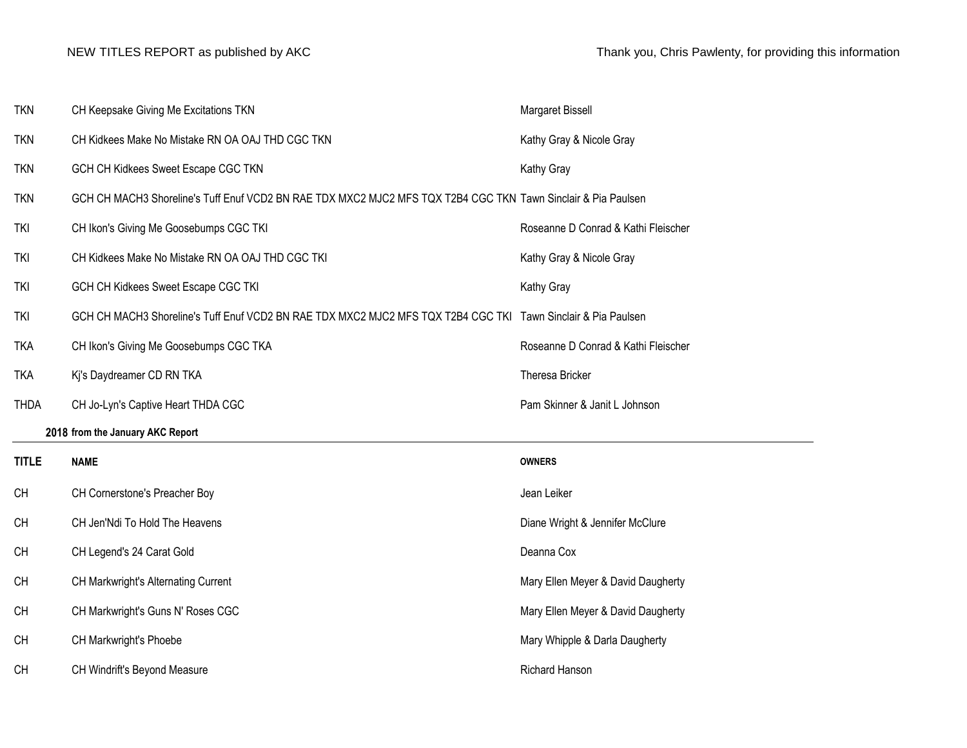| <b>TKN</b>   | CH Keepsake Giving Me Excitations TKN                                                                         | Margaret Bissell                    |
|--------------|---------------------------------------------------------------------------------------------------------------|-------------------------------------|
| <b>TKN</b>   | CH Kidkees Make No Mistake RN OA OAJ THD CGC TKN                                                              | Kathy Gray & Nicole Gray            |
| <b>TKN</b>   | GCH CH Kidkees Sweet Escape CGC TKN                                                                           | Kathy Gray                          |
| <b>TKN</b>   | GCH CH MACH3 Shoreline's Tuff Enuf VCD2 BN RAE TDX MXC2 MJC2 MFS TQX T2B4 CGC TKN Tawn Sinclair & Pia Paulsen |                                     |
| <b>TKI</b>   | CH Ikon's Giving Me Goosebumps CGC TKI                                                                        | Roseanne D Conrad & Kathi Fleischer |
| <b>TKI</b>   | CH Kidkees Make No Mistake RN OA OAJ THD CGC TKI                                                              | Kathy Gray & Nicole Gray            |
| <b>TKI</b>   | GCH CH Kidkees Sweet Escape CGC TKI                                                                           | Kathy Gray                          |
| <b>TKI</b>   | GCH CH MACH3 Shoreline's Tuff Enuf VCD2 BN RAE TDX MXC2 MJC2 MFS TQX T2B4 CGC TKI Tawn Sinclair & Pia Paulsen |                                     |
| <b>TKA</b>   | CH Ikon's Giving Me Goosebumps CGC TKA                                                                        | Roseanne D Conrad & Kathi Fleischer |
| <b>TKA</b>   | Kj's Daydreamer CD RN TKA                                                                                     | Theresa Bricker                     |
| <b>THDA</b>  | CH Jo-Lyn's Captive Heart THDA CGC                                                                            | Pam Skinner & Janit L Johnson       |
|              |                                                                                                               |                                     |
|              | 2018 from the January AKC Report                                                                              |                                     |
| <b>TITLE</b> | <b>NAME</b>                                                                                                   | <b>OWNERS</b>                       |
| <b>CH</b>    | CH Cornerstone's Preacher Boy                                                                                 | Jean Leiker                         |
| <b>CH</b>    | CH Jen'Ndi To Hold The Heavens                                                                                | Diane Wright & Jennifer McClure     |
| <b>CH</b>    | CH Legend's 24 Carat Gold                                                                                     | Deanna Cox                          |
| <b>CH</b>    | <b>CH Markwright's Alternating Current</b>                                                                    | Mary Ellen Meyer & David Daugherty  |
| CH           | CH Markwright's Guns N' Roses CGC                                                                             | Mary Ellen Meyer & David Daugherty  |
| <b>CH</b>    | CH Markwright's Phoebe                                                                                        | Mary Whipple & Darla Daugherty      |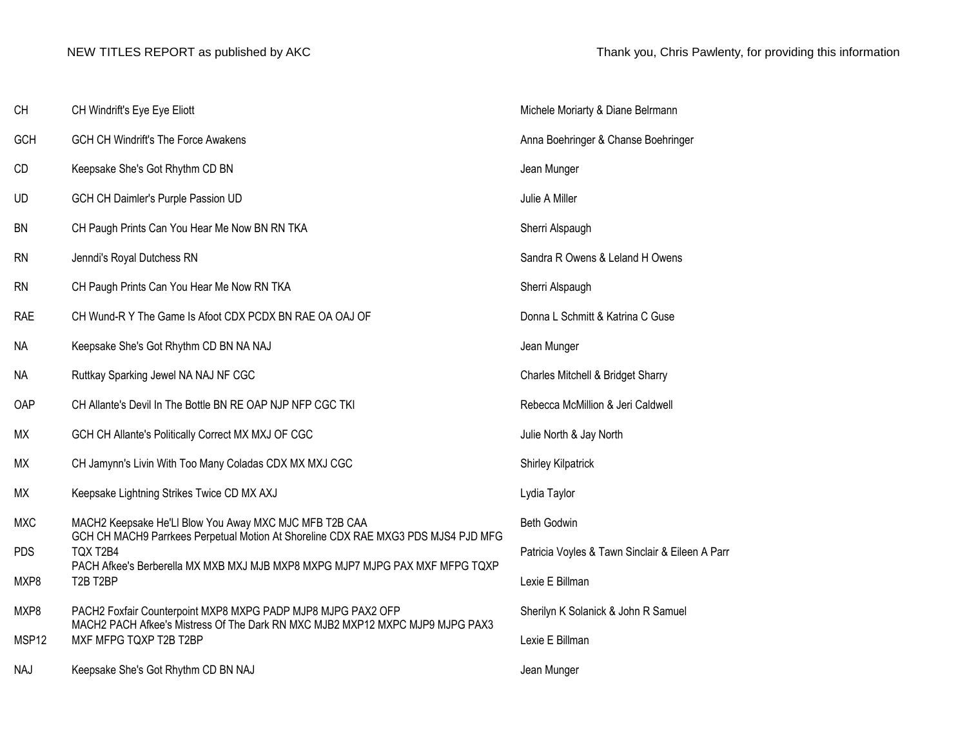| CH         | CH Windrift's Eye Eye Eliott                                                                                                                  | Michele Moriarty & Diane Belrmann               |
|------------|-----------------------------------------------------------------------------------------------------------------------------------------------|-------------------------------------------------|
| GCH        | <b>GCH CH Windrift's The Force Awakens</b>                                                                                                    | Anna Boehringer & Chanse Boehringer             |
| <b>CD</b>  | Keepsake She's Got Rhythm CD BN                                                                                                               | Jean Munger                                     |
| <b>UD</b>  | GCH CH Daimler's Purple Passion UD                                                                                                            | Julie A Miller                                  |
| <b>BN</b>  | CH Paugh Prints Can You Hear Me Now BN RN TKA                                                                                                 | Sherri Alspaugh                                 |
| <b>RN</b>  | Jenndi's Royal Dutchess RN                                                                                                                    | Sandra R Owens & Leland H Owens                 |
| <b>RN</b>  | CH Paugh Prints Can You Hear Me Now RN TKA                                                                                                    | Sherri Alspaugh                                 |
| <b>RAE</b> | CH Wund-R Y The Game Is Afoot CDX PCDX BN RAE OA OAJ OF                                                                                       | Donna L Schmitt & Katrina C Guse                |
| <b>NA</b>  | Keepsake She's Got Rhythm CD BN NA NAJ                                                                                                        | Jean Munger                                     |
| <b>NA</b>  | Ruttkay Sparking Jewel NA NAJ NF CGC                                                                                                          | Charles Mitchell & Bridget Sharry               |
| OAP        | CH Allante's Devil In The Bottle BN RE OAP NJP NFP CGC TKI                                                                                    | Rebecca McMillion & Jeri Caldwell               |
| МX         | GCH CH Allante's Politically Correct MX MXJ OF CGC                                                                                            | Julie North & Jay North                         |
| MX         | CH Jamynn's Livin With Too Many Coladas CDX MX MXJ CGC                                                                                        | <b>Shirley Kilpatrick</b>                       |
| MX         | Keepsake Lightning Strikes Twice CD MX AXJ                                                                                                    | Lydia Taylor                                    |
| <b>MXC</b> | MACH2 Keepsake He'Ll Blow You Away MXC MJC MFB T2B CAA<br>GCH CH MACH9 Parrkees Perpetual Motion At Shoreline CDX RAE MXG3 PDS MJS4 PJD MFG   | <b>Beth Godwin</b>                              |
| <b>PDS</b> | TQX T2B4<br>PACH Afkee's Berberella MX MXB MXJ MJB MXP8 MXPG MJP7 MJPG PAX MXF MFPG TQXP                                                      | Patricia Voyles & Tawn Sinclair & Eileen A Parr |
| MXP8       | T2B T2BP                                                                                                                                      | Lexie E Billman                                 |
| MXP8       | PACH2 Foxfair Counterpoint MXP8 MXPG PADP MJP8 MJPG PAX2 OFP<br>MACH2 PACH Afkee's Mistress Of The Dark RN MXC MJB2 MXP12 MXPC MJP9 MJPG PAX3 | Sherilyn K Solanick & John R Samuel             |
| MSP12      | MXF MFPG TQXP T2B T2BP                                                                                                                        | Lexie E Billman                                 |
| <b>NAJ</b> | Keepsake She's Got Rhythm CD BN NAJ                                                                                                           | Jean Munger                                     |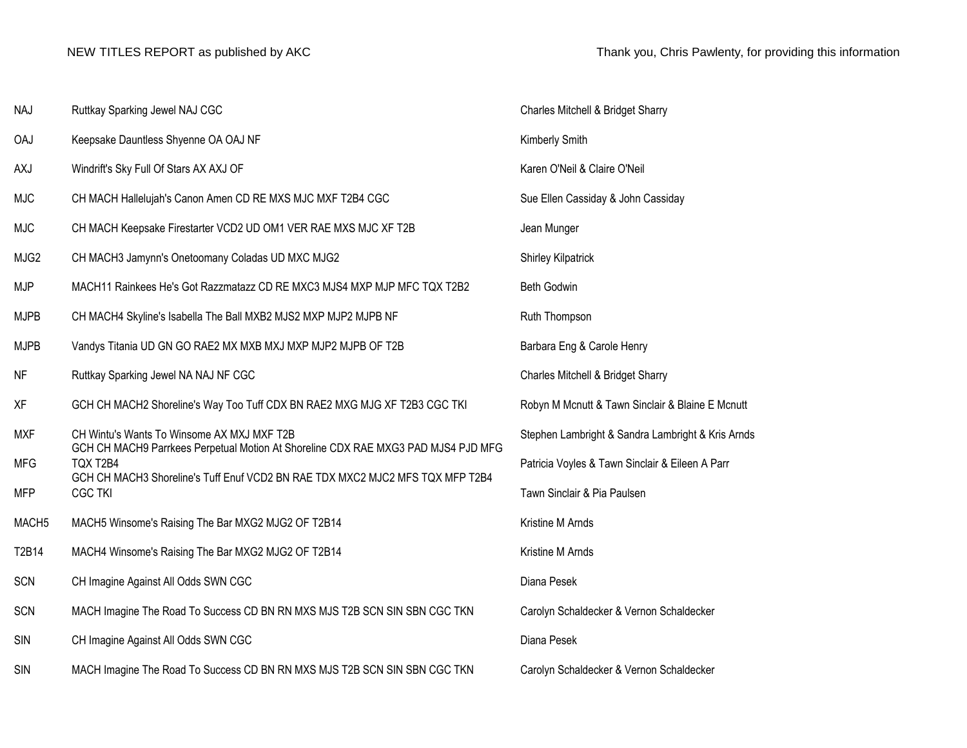| <b>NAJ</b>        | Ruttkay Sparking Jewel NAJ CGC                                                                                                  | Charles Mitchell & Bridget Sharry                 |
|-------------------|---------------------------------------------------------------------------------------------------------------------------------|---------------------------------------------------|
| <b>OAJ</b>        | Keepsake Dauntless Shyenne OA OAJ NF                                                                                            | Kimberly Smith                                    |
| AXJ               | Windrift's Sky Full Of Stars AX AXJ OF                                                                                          | Karen O'Neil & Claire O'Neil                      |
| <b>MJC</b>        | CH MACH Hallelujah's Canon Amen CD RE MXS MJC MXF T2B4 CGC                                                                      | Sue Ellen Cassiday & John Cassiday                |
| <b>MJC</b>        | CH MACH Keepsake Firestarter VCD2 UD OM1 VER RAE MXS MJC XF T2B                                                                 | Jean Munger                                       |
| MJG2              | CH MACH3 Jamynn's Onetoomany Coladas UD MXC MJG2                                                                                | <b>Shirley Kilpatrick</b>                         |
| <b>MJP</b>        | MACH11 Rainkees He's Got Razzmatazz CD RE MXC3 MJS4 MXP MJP MFC TQX T2B2                                                        | Beth Godwin                                       |
| <b>MJPB</b>       | CH MACH4 Skyline's Isabella The Ball MXB2 MJS2 MXP MJP2 MJPB NF                                                                 | Ruth Thompson                                     |
| <b>MJPB</b>       | Vandys Titania UD GN GO RAE2 MX MXB MXJ MXP MJP2 MJPB OF T2B                                                                    | Barbara Eng & Carole Henry                        |
| NF                | Ruttkay Sparking Jewel NA NAJ NF CGC                                                                                            | Charles Mitchell & Bridget Sharry                 |
| <b>XF</b>         | GCH CH MACH2 Shoreline's Way Too Tuff CDX BN RAE2 MXG MJG XF T2B3 CGC TKI                                                       | Robyn M Mcnutt & Tawn Sinclair & Blaine E Mcnutt  |
| <b>MXF</b>        | CH Wintu's Wants To Winsome AX MXJ MXF T2B<br>GCH CH MACH9 Parrkees Perpetual Motion At Shoreline CDX RAE MXG3 PAD MJS4 PJD MFG | Stephen Lambright & Sandra Lambright & Kris Arnds |
| <b>MFG</b>        | TQX T2B4<br>GCH CH MACH3 Shoreline's Tuff Enuf VCD2 BN RAE TDX MXC2 MJC2 MFS TQX MFP T2B4                                       | Patricia Voyles & Tawn Sinclair & Eileen A Parr   |
| <b>MFP</b>        | <b>CGC TKI</b>                                                                                                                  | Tawn Sinclair & Pia Paulsen                       |
| MACH <sub>5</sub> | MACH5 Winsome's Raising The Bar MXG2 MJG2 OF T2B14                                                                              | Kristine M Arnds                                  |
| T2B14             | MACH4 Winsome's Raising The Bar MXG2 MJG2 OF T2B14                                                                              | Kristine M Arnds                                  |
| <b>SCN</b>        | CH Imagine Against All Odds SWN CGC                                                                                             | Diana Pesek                                       |
| <b>SCN</b>        | MACH Imagine The Road To Success CD BN RN MXS MJS T2B SCN SIN SBN CGC TKN                                                       | Carolyn Schaldecker & Vernon Schaldecker          |
| SIN               | CH Imagine Against All Odds SWN CGC                                                                                             | Diana Pesek                                       |
| SIN               | MACH Imagine The Road To Success CD BN RN MXS MJS T2B SCN SIN SBN CGC TKN                                                       | Carolyn Schaldecker & Vernon Schaldecker          |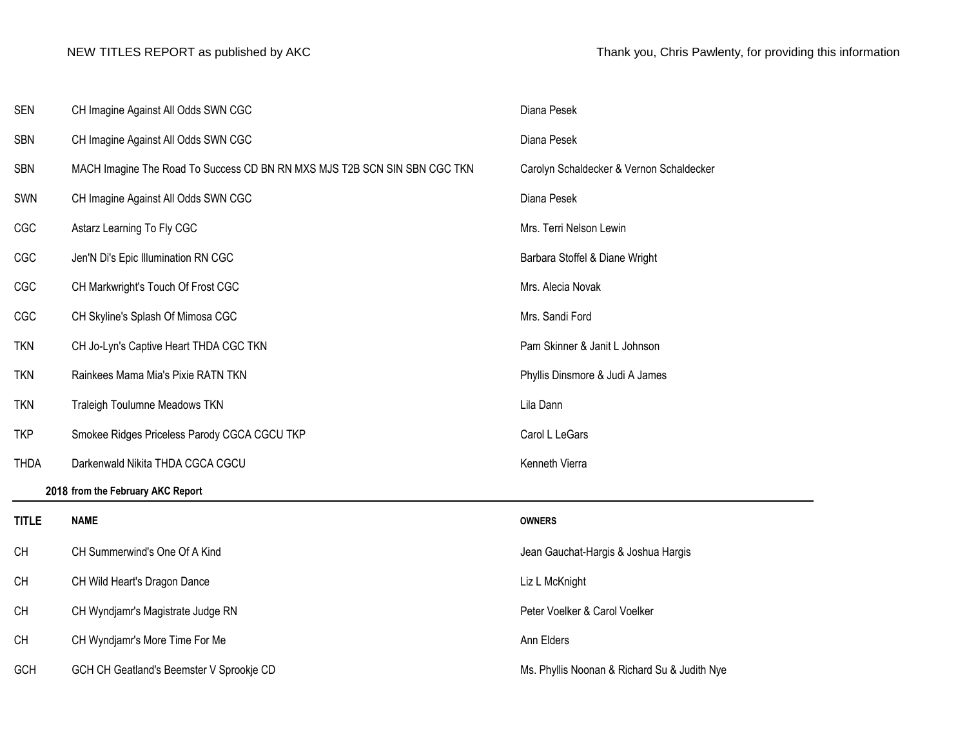| <b>SEN</b>   | CH Imagine Against All Odds SWN CGC                                       | Diana Pesek                                  |
|--------------|---------------------------------------------------------------------------|----------------------------------------------|
| <b>SBN</b>   | CH Imagine Against All Odds SWN CGC                                       | Diana Pesek                                  |
| <b>SBN</b>   | MACH Imagine The Road To Success CD BN RN MXS MJS T2B SCN SIN SBN CGC TKN | Carolyn Schaldecker & Vernon Schaldecker     |
| SWN          | CH Imagine Against All Odds SWN CGC                                       | Diana Pesek                                  |
| CGC          | Astarz Learning To Fly CGC                                                | Mrs. Terri Nelson Lewin                      |
| CGC          | Jen'N Di's Epic Illumination RN CGC                                       | Barbara Stoffel & Diane Wright               |
| CGC          | CH Markwright's Touch Of Frost CGC                                        | Mrs. Alecia Novak                            |
| CGC          | CH Skyline's Splash Of Mimosa CGC                                         | Mrs. Sandi Ford                              |
| <b>TKN</b>   | CH Jo-Lyn's Captive Heart THDA CGC TKN                                    | Pam Skinner & Janit L Johnson                |
| <b>TKN</b>   | Rainkees Mama Mia's Pixie RATN TKN                                        | Phyllis Dinsmore & Judi A James              |
| <b>TKN</b>   | Traleigh Toulumne Meadows TKN                                             | Lila Dann                                    |
| <b>TKP</b>   | Smokee Ridges Priceless Parody CGCA CGCU TKP                              | Carol L LeGars                               |
| <b>THDA</b>  | Darkenwald Nikita THDA CGCA CGCU                                          | Kenneth Vierra                               |
|              | 2018 from the February AKC Report                                         |                                              |
| <b>TITLE</b> | <b>NAME</b>                                                               | <b>OWNERS</b>                                |
| <b>CH</b>    | CH Summerwind's One Of A Kind                                             | Jean Gauchat-Hargis & Joshua Hargis          |
| CH           | CH Wild Heart's Dragon Dance                                              | Liz L McKnight                               |
| CH           | CH Wyndjamr's Magistrate Judge RN                                         | Peter Voelker & Carol Voelker                |
| CH           | CH Wyndjamr's More Time For Me                                            | Ann Elders                                   |
| GCH          | GCH CH Geatland's Beemster V Sprookje CD                                  | Ms. Phyllis Noonan & Richard Su & Judith Nye |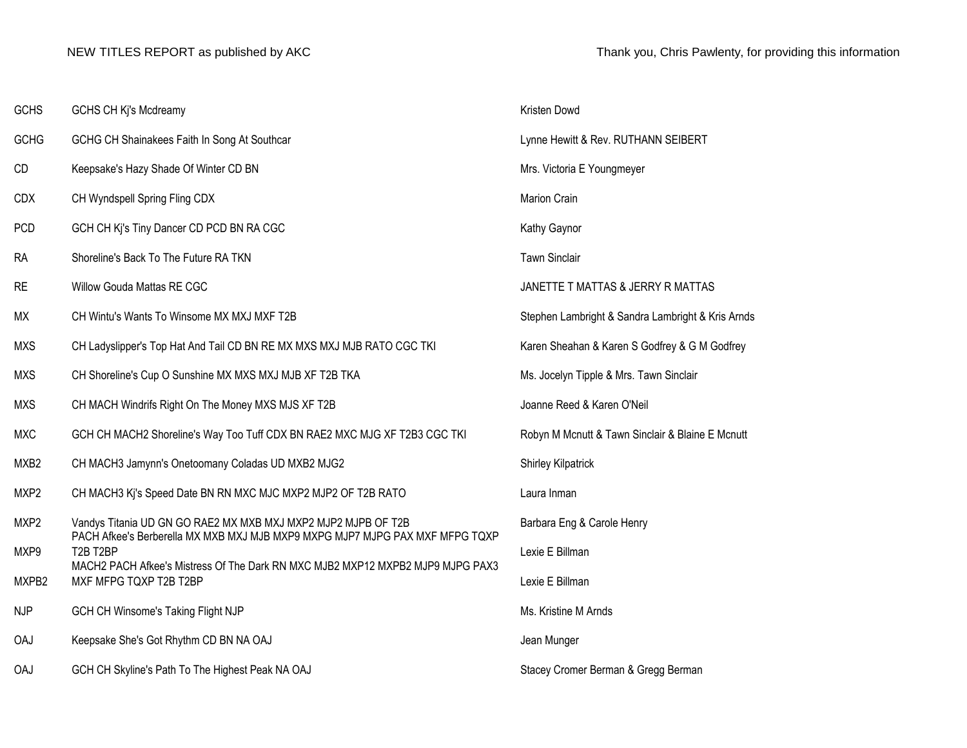| <b>GCHS</b>      | GCHS CH Ki's Mcdreamy                                                                                                                         | Kristen Dowd                                      |
|------------------|-----------------------------------------------------------------------------------------------------------------------------------------------|---------------------------------------------------|
| <b>GCHG</b>      | GCHG CH Shainakees Faith In Song At Southcar                                                                                                  | Lynne Hewitt & Rev. RUTHANN SEIBERT               |
| CD               | Keepsake's Hazy Shade Of Winter CD BN                                                                                                         | Mrs. Victoria E Youngmeyer                        |
| <b>CDX</b>       | CH Wyndspell Spring Fling CDX                                                                                                                 | <b>Marion Crain</b>                               |
| <b>PCD</b>       | GCH CH Ki's Tiny Dancer CD PCD BN RA CGC                                                                                                      | Kathy Gaynor                                      |
| <b>RA</b>        | Shoreline's Back To The Future RA TKN                                                                                                         | <b>Tawn Sinclair</b>                              |
| <b>RE</b>        | Willow Gouda Mattas RE CGC                                                                                                                    | JANETTE T MATTAS & JERRY R MATTAS                 |
| MX               | CH Wintu's Wants To Winsome MX MXJ MXF T2B                                                                                                    | Stephen Lambright & Sandra Lambright & Kris Arnds |
| <b>MXS</b>       | CH Ladyslipper's Top Hat And Tail CD BN RE MX MXS MXJ MJB RATO CGC TKI                                                                        | Karen Sheahan & Karen S Godfrey & G M Godfrey     |
| <b>MXS</b>       | CH Shoreline's Cup O Sunshine MX MXS MXJ MJB XF T2B TKA                                                                                       | Ms. Jocelyn Tipple & Mrs. Tawn Sinclair           |
| <b>MXS</b>       | CH MACH Windrifs Right On The Money MXS MJS XF T2B                                                                                            | Joanne Reed & Karen O'Neil                        |
| <b>MXC</b>       | GCH CH MACH2 Shoreline's Way Too Tuff CDX BN RAE2 MXC MJG XF T2B3 CGC TKI                                                                     | Robyn M Mcnutt & Tawn Sinclair & Blaine E Mcnutt  |
| MXB <sub>2</sub> | CH MACH3 Jamynn's Onetoomany Coladas UD MXB2 MJG2                                                                                             | <b>Shirley Kilpatrick</b>                         |
| MXP2             | CH MACH3 Kj's Speed Date BN RN MXC MJC MXP2 MJP2 OF T2B RATO                                                                                  | Laura Inman                                       |
| MXP2             | Vandys Titania UD GN GO RAE2 MX MXB MXJ MXP2 MJP2 MJPB OF T2B<br>PACH Afkee's Berberella MX MXB MXJ MJB MXP9 MXPG MJP7 MJPG PAX MXF MFPG TQXP | Barbara Eng & Carole Henry                        |
| MXP9             | T2B T2BP<br>MACH2 PACH Afkee's Mistress Of The Dark RN MXC MJB2 MXP12 MXPB2 MJP9 MJPG PAX3                                                    | Lexie E Billman                                   |
| MXPB2            | MXF MFPG TQXP T2B T2BP                                                                                                                        | Lexie E Billman                                   |
| <b>NJP</b>       | GCH CH Winsome's Taking Flight NJP                                                                                                            | Ms. Kristine M Arnds                              |
| OAJ              | Keepsake She's Got Rhythm CD BN NA OAJ                                                                                                        | Jean Munger                                       |
| OAJ              | GCH CH Skyline's Path To The Highest Peak NA OAJ                                                                                              | Stacey Cromer Berman & Gregg Berman               |